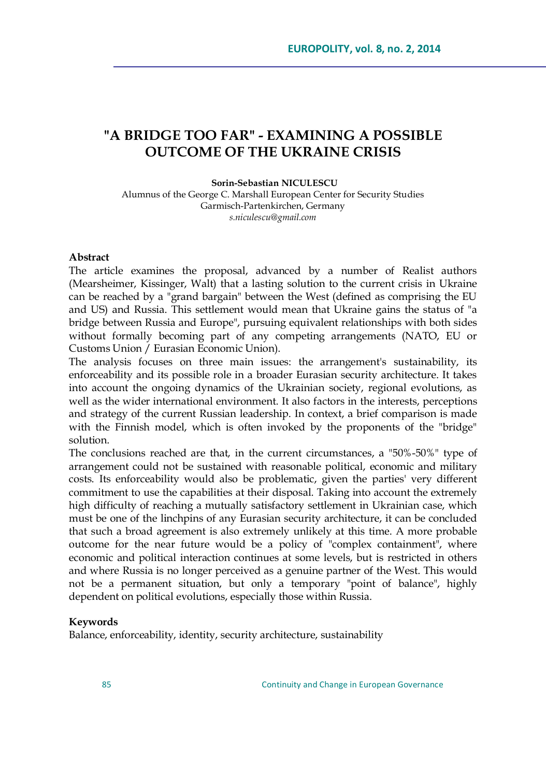# **"A BRIDGE TOO FAR" - EXAMINING A POSSIBLE OUTCOME OF THE UKRAINE CRISIS**

#### **Sorin-Sebastian NICULESCU**

Alumnus of the George C. Marshall European Center for Security Studies Garmisch-Partenkirchen, Germany *[s.niculescu@gmail.com](mailto:s.niculescu@gmail.com)*

#### **Abstract**

The article examines the proposal, advanced by a number of Realist authors (Mearsheimer, Kissinger, Walt) that a lasting solution to the current crisis in Ukraine can be reached by a "grand bargain" between the West (defined as comprising the EU and US) and Russia. This settlement would mean that Ukraine gains the status of "a bridge between Russia and Europe", pursuing equivalent relationships with both sides without formally becoming part of any competing arrangements (NATO, EU or Customs Union / Eurasian Economic Union).

The analysis focuses on three main issues: the arrangement's sustainability, its enforceability and its possible role in a broader Eurasian security architecture. It takes into account the ongoing dynamics of the Ukrainian society, regional evolutions, as well as the wider international environment. It also factors in the interests, perceptions and strategy of the current Russian leadership. In context, a brief comparison is made with the Finnish model, which is often invoked by the proponents of the "bridge" solution.

The conclusions reached are that, in the current circumstances, a "50%-50%" type of arrangement could not be sustained with reasonable political, economic and military costs. Its enforceability would also be problematic, given the parties' very different commitment to use the capabilities at their disposal. Taking into account the extremely high difficulty of reaching a mutually satisfactory settlement in Ukrainian case, which must be one of the linchpins of any Eurasian security architecture, it can be concluded that such a broad agreement is also extremely unlikely at this time. A more probable outcome for the near future would be a policy of "complex containment", where economic and political interaction continues at some levels, but is restricted in others and where Russia is no longer perceived as a genuine partner of the West. This would not be a permanent situation, but only a temporary "point of balance", highly dependent on political evolutions, especially those within Russia.

#### **Keywords**

Balance, enforceability, identity, security architecture, sustainability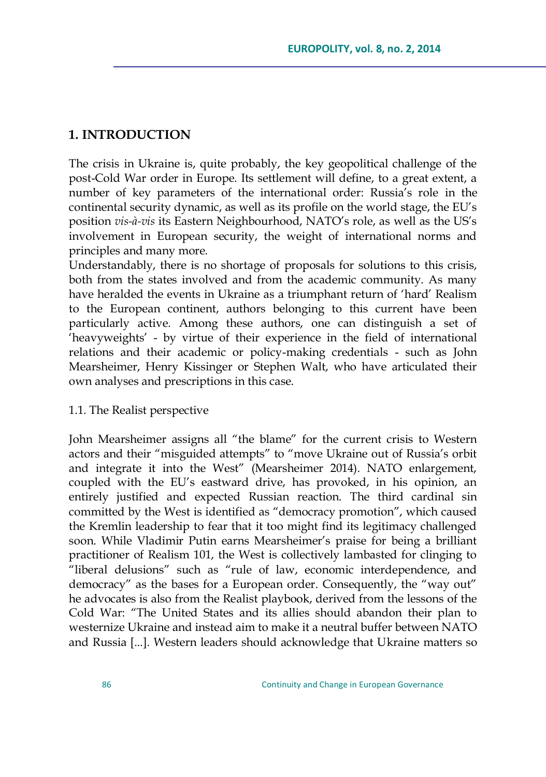## **1. INTRODUCTION**

The crisis in Ukraine is, quite probably, the key geopolitical challenge of the post-Cold War order in Europe. Its settlement will define, to a great extent, a number of key parameters of the international order: Russia's role in the continental security dynamic, as well as its profile on the world stage, the EU's position *vis-à-vis* its Eastern Neighbourhood, NATO's role, as well as the US's involvement in European security, the weight of international norms and principles and many more.

Understandably, there is no shortage of proposals for solutions to this crisis, both from the states involved and from the academic community. As many have heralded the events in Ukraine as a triumphant return of 'hard' Realism to the European continent, authors belonging to this current have been particularly active. Among these authors, one can distinguish a set of ‗heavyweights' - by virtue of their experience in the field of international relations and their academic or policy-making credentials - such as John Mearsheimer, Henry Kissinger or Stephen Walt, who have articulated their own analyses and prescriptions in this case.

#### 1.1. The Realist perspective

John Mearsheimer assigns all "the blame" for the current crisis to Western actors and their "misguided attempts" to "move Ukraine out of Russia's orbit and integrate it into the West" (Mearsheimer 2014). NATO enlargement, coupled with the EU's eastward drive, has provoked, in his opinion, an entirely justified and expected Russian reaction. The third cardinal sin committed by the West is identified as "democracy promotion", which caused the Kremlin leadership to fear that it too might find its legitimacy challenged soon. While Vladimir Putin earns Mearsheimer's praise for being a brilliant practitioner of Realism 101, the West is collectively lambasted for clinging to "liberal delusions" such as "rule of law, economic interdependence, and democracy" as the bases for a European order. Consequently, the "way out" he advocates is also from the Realist playbook, derived from the lessons of the Cold War: "The United States and its allies should abandon their plan to westernize Ukraine and instead aim to make it a neutral buffer between NATO and Russia [...]. Western leaders should acknowledge that Ukraine matters so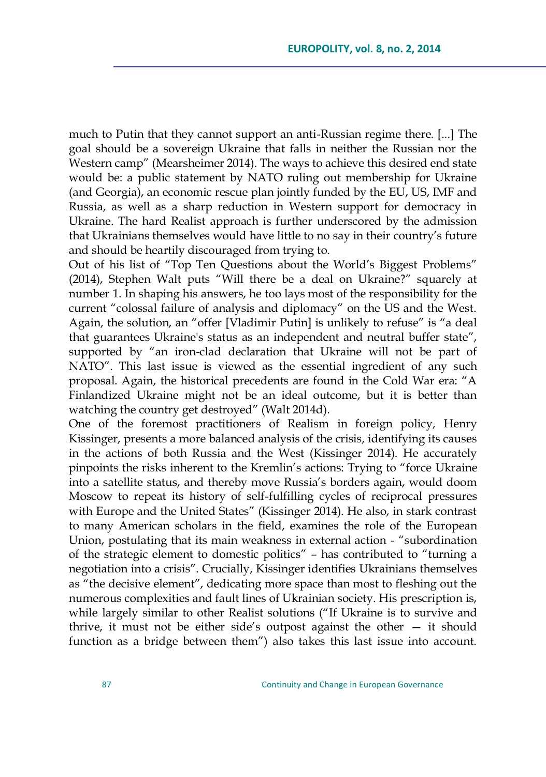much to Putin that they cannot support an anti-Russian regime there. [...] The goal should be a sovereign Ukraine that falls in neither the Russian nor the Western camp" (Mearsheimer 2014). The ways to achieve this desired end state would be: a public statement by NATO ruling out membership for Ukraine (and Georgia), an economic rescue plan jointly funded by the EU, US, IMF and Russia, as well as a sharp reduction in Western support for democracy in Ukraine. The hard Realist approach is further underscored by the admission that Ukrainians themselves would have little to no say in their country's future and should be heartily discouraged from trying to.

Out of his list of "Top Ten Questions about the World's Biggest Problems" (2014), Stephen Walt puts "Will there be a deal on Ukraine?" squarely at number 1. In shaping his answers, he too lays most of the responsibility for the current "colossal failure of analysis and diplomacy" on the US and the West. Again, the solution, an "offer [Vladimir Putin] is unlikely to refuse" is "a deal that guarantees Ukraine's status as an independent and neutral buffer state", supported by "an iron-clad declaration that Ukraine will not be part of NATO". This last issue is viewed as the essential ingredient of any such proposal. Again, the historical precedents are found in the Cold War era: "A Finlandized Ukraine might not be an ideal outcome, but it is better than watching the country get destroyed" (Walt 2014d).

One of the foremost practitioners of Realism in foreign policy, Henry Kissinger, presents a more balanced analysis of the crisis, identifying its causes in the actions of both Russia and the West (Kissinger 2014). He accurately pinpoints the risks inherent to the Kremlin's actions: Trying to "force Ukraine" into a satellite status, and thereby move Russia's borders again, would doom Moscow to repeat its history of self-fulfilling cycles of reciprocal pressures with Europe and the United States" (Kissinger 2014). He also, in stark contrast to many American scholars in the field, examines the role of the European Union, postulating that its main weakness in external action - "subordination of the strategic element to domestic politics" - has contributed to "turning a negotiation into a crisis". Crucially, Kissinger identifies Ukrainians themselves as "the decisive element", dedicating more space than most to fleshing out the numerous complexities and fault lines of Ukrainian society. His prescription is, while largely similar to other Realist solutions ("If Ukraine is to survive and thrive, it must not be either side's outpost against the other — it should function as a bridge between them<sup>"</sup>) also takes this last issue into account.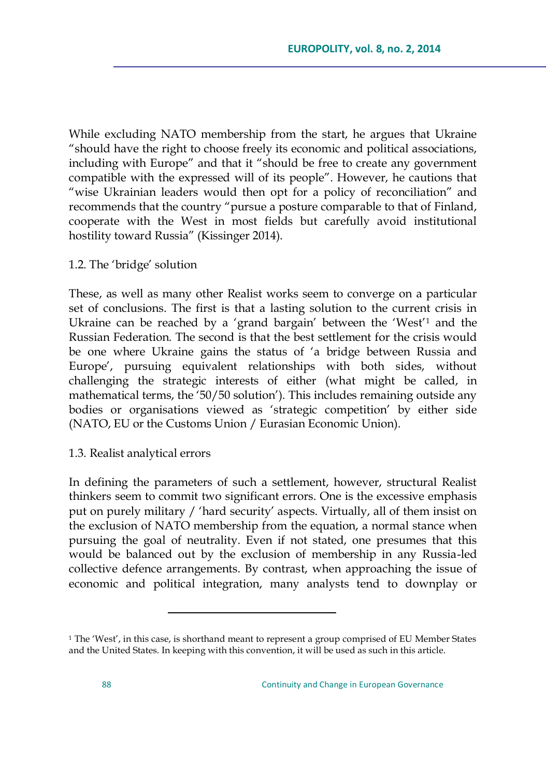While excluding NATO membership from the start, he argues that Ukraine ―should have the right to choose freely its economic and political associations, including with Europe" and that it "should be free to create any government compatible with the expressed will of its people". However, he cautions that "wise Ukrainian leaders would then opt for a policy of reconciliation" and recommends that the country "pursue a posture comparable to that of Finland, cooperate with the West in most fields but carefully avoid institutional hostility toward Russia" (Kissinger 2014).

### 1.2. The 'bridge' solution

These, as well as many other Realist works seem to converge on a particular set of conclusions. The first is that a lasting solution to the current crisis in Ukraine can be reached by a 'grand bargain' between the 'West'<sup>1</sup> and the Russian Federation. The second is that the best settlement for the crisis would be one where Ukraine gains the status of 'a bridge between Russia and Europe', pursuing equivalent relationships with both sides, without challenging the strategic interests of either (what might be called, in mathematical terms, the '50/50 solution'). This includes remaining outside any bodies or organisations viewed as 'strategic competition' by either side (NATO, EU or the Customs Union / Eurasian Economic Union).

### 1.3. Realist analytical errors

 $\overline{a}$ 

In defining the parameters of such a settlement, however, structural Realist thinkers seem to commit two significant errors. One is the excessive emphasis put on purely military / ‗hard security' aspects. Virtually, all of them insist on the exclusion of NATO membership from the equation, a normal stance when pursuing the goal of neutrality. Even if not stated, one presumes that this would be balanced out by the exclusion of membership in any Russia-led collective defence arrangements. By contrast, when approaching the issue of economic and political integration, many analysts tend to downplay or

<sup>&</sup>lt;sup>1</sup> The 'West', in this case, is shorthand meant to represent a group comprised of EU Member States and the United States. In keeping with this convention, it will be used as such in this article.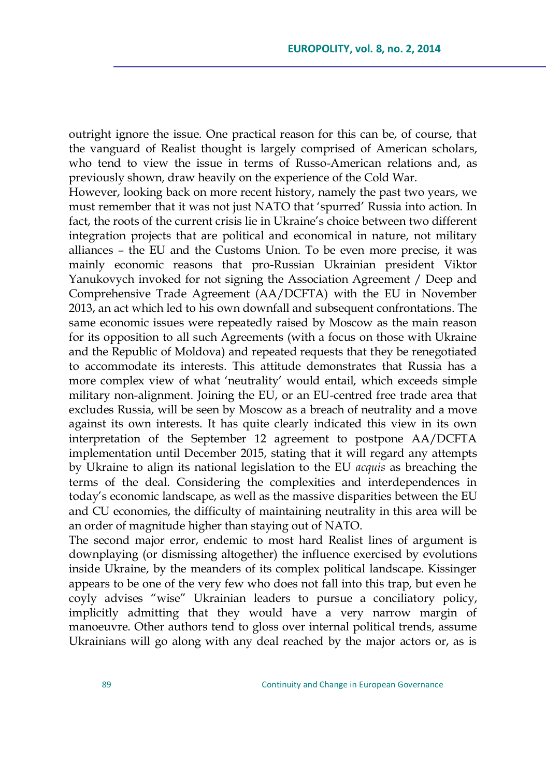outright ignore the issue. One practical reason for this can be, of course, that the vanguard of Realist thought is largely comprised of American scholars, who tend to view the issue in terms of Russo-American relations and, as previously shown, draw heavily on the experience of the Cold War.

However, looking back on more recent history, namely the past two years, we must remember that it was not just NATO that 'spurred' Russia into action. In fact, the roots of the current crisis lie in Ukraine's choice between two different integration projects that are political and economical in nature, not military alliances – the EU and the Customs Union. To be even more precise, it was mainly economic reasons that pro-Russian Ukrainian president Viktor Yanukovych invoked for not signing the Association Agreement / Deep and Comprehensive Trade Agreement (AA/DCFTA) with the EU in November 2013, an act which led to his own downfall and subsequent confrontations. The same economic issues were repeatedly raised by Moscow as the main reason for its opposition to all such Agreements (with a focus on those with Ukraine and the Republic of Moldova) and repeated requests that they be renegotiated to accommodate its interests. This attitude demonstrates that Russia has a more complex view of what 'neutrality' would entail, which exceeds simple military non-alignment. Joining the EU, or an EU-centred free trade area that excludes Russia, will be seen by Moscow as a breach of neutrality and a move against its own interests. It has quite clearly indicated this view in its own interpretation of the September 12 agreement to postpone AA/DCFTA implementation until December 2015, stating that it will regard any attempts by Ukraine to align its national legislation to the EU *acquis* as breaching the terms of the deal. Considering the complexities and interdependences in today's economic landscape, as well as the massive disparities between the EU and CU economies, the difficulty of maintaining neutrality in this area will be an order of magnitude higher than staying out of NATO.

The second major error, endemic to most hard Realist lines of argument is downplaying (or dismissing altogether) the influence exercised by evolutions inside Ukraine, by the meanders of its complex political landscape. Kissinger appears to be one of the very few who does not fall into this trap, but even he coyly advises "wise" Ukrainian leaders to pursue a conciliatory policy, implicitly admitting that they would have a very narrow margin of manoeuvre. Other authors tend to gloss over internal political trends, assume Ukrainians will go along with any deal reached by the major actors or, as is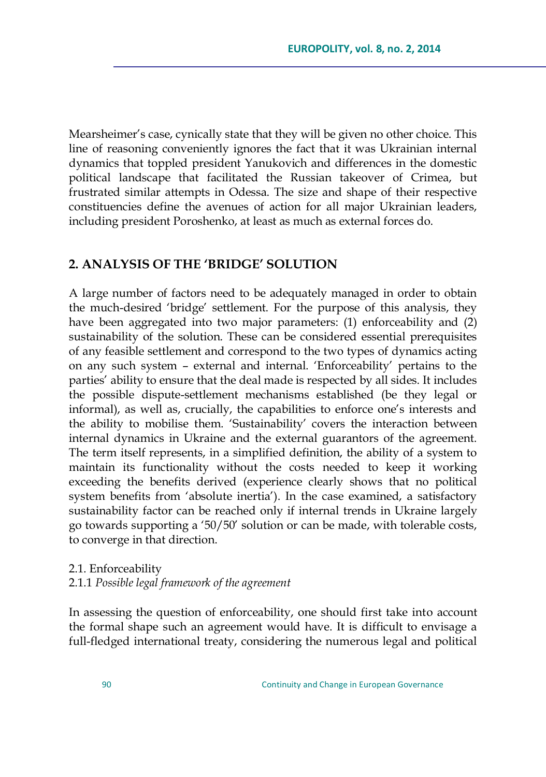Mearsheimer's case, cynically state that they will be given no other choice. This line of reasoning conveniently ignores the fact that it was Ukrainian internal dynamics that toppled president Yanukovich and differences in the domestic political landscape that facilitated the Russian takeover of Crimea, but frustrated similar attempts in Odessa. The size and shape of their respective constituencies define the avenues of action for all major Ukrainian leaders, including president Poroshenko, at least as much as external forces do.

### **2. ANALYSIS OF THE "BRIDGE" SOLUTION**

A large number of factors need to be adequately managed in order to obtain the much-desired 'bridge' settlement. For the purpose of this analysis, they have been aggregated into two major parameters: (1) enforceability and (2) sustainability of the solution. These can be considered essential prerequisites of any feasible settlement and correspond to the two types of dynamics acting on any such system – external and internal. ‗Enforceability' pertains to the parties' ability to ensure that the deal made is respected by all sides. It includes the possible dispute-settlement mechanisms established (be they legal or informal), as well as, crucially, the capabilities to enforce one's interests and the ability to mobilise them. 'Sustainability' covers the interaction between internal dynamics in Ukraine and the external guarantors of the agreement. The term itself represents, in a simplified definition, the ability of a system to maintain its functionality without the costs needed to keep it working exceeding the benefits derived (experience clearly shows that no political system benefits from 'absolute inertia'). In the case examined, a satisfactory sustainability factor can be reached only if internal trends in Ukraine largely go towards supporting a ‗50/50' solution or can be made, with tolerable costs, to converge in that direction.

## 2.1. Enforceability 2.1.1 *Possible legal framework of the agreement*

In assessing the question of enforceability, one should first take into account the formal shape such an agreement would have. It is difficult to envisage a full-fledged international treaty, considering the numerous legal and political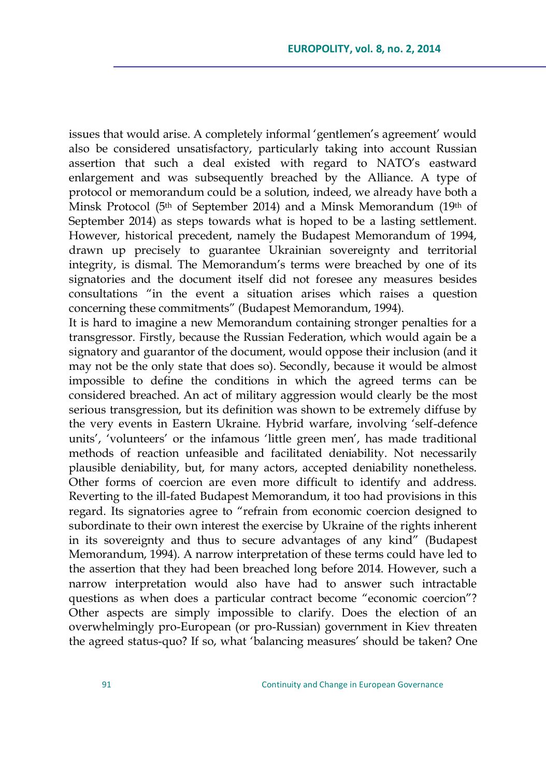issues that would arise. A completely informal 'gentlemen's agreement' would also be considered unsatisfactory, particularly taking into account Russian assertion that such a deal existed with regard to NATO's eastward enlargement and was subsequently breached by the Alliance. A type of protocol or memorandum could be a solution, indeed, we already have both a Minsk Protocol (5<sup>th</sup> of September 2014) and a Minsk Memorandum (19<sup>th</sup> of September 2014) as steps towards what is hoped to be a lasting settlement. However, historical precedent, namely the Budapest Memorandum of 1994, drawn up precisely to guarantee Ukrainian sovereignty and territorial integrity, is dismal. The Memorandum's terms were breached by one of its signatories and the document itself did not foresee any measures besides consultations "in the event a situation arises which raises a question concerning these commitments" (Budapest Memorandum, 1994).

It is hard to imagine a new Memorandum containing stronger penalties for a transgressor. Firstly, because the Russian Federation, which would again be a signatory and guarantor of the document, would oppose their inclusion (and it may not be the only state that does so). Secondly, because it would be almost impossible to define the conditions in which the agreed terms can be considered breached. An act of military aggression would clearly be the most serious transgression, but its definition was shown to be extremely diffuse by the very events in Eastern Ukraine. Hybrid warfare, involving 'self-defence units', 'volunteers' or the infamous 'little green men', has made traditional methods of reaction unfeasible and facilitated deniability. Not necessarily plausible deniability, but, for many actors, accepted deniability nonetheless. Other forms of coercion are even more difficult to identify and address. Reverting to the ill-fated Budapest Memorandum, it too had provisions in this regard. Its signatories agree to "refrain from economic coercion designed to subordinate to their own interest the exercise by Ukraine of the rights inherent in its sovereignty and thus to secure advantages of any kind" (Budapest Memorandum, 1994). A narrow interpretation of these terms could have led to the assertion that they had been breached long before 2014. However, such a narrow interpretation would also have had to answer such intractable questions as when does a particular contract become "economic coercion"? Other aspects are simply impossible to clarify. Does the election of an overwhelmingly pro-European (or pro-Russian) government in Kiev threaten the agreed status-quo? If so, what 'balancing measures' should be taken? One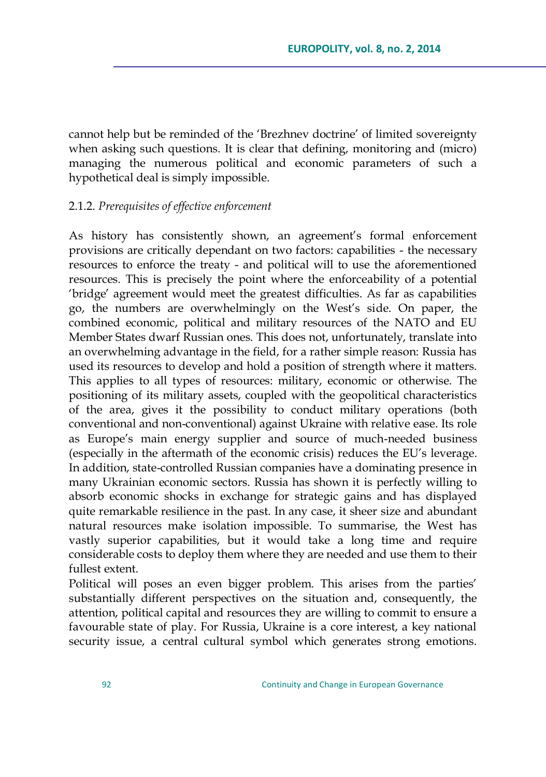cannot help but be reminded of the 'Brezhnev doctrine' of limited sovereignty when asking such questions. It is clear that defining, monitoring and (micro) managing the numerous political and economic parameters of such a hypothetical deal is simply impossible.

#### 2.1.2. *Prerequisites of effective enforcement*

As history has consistently shown, an agreement's formal enforcement provisions are critically dependant on two factors: capabilities - the necessary resources to enforce the treaty - and political will to use the aforementioned resources. This is precisely the point where the enforceability of a potential ‗bridge' agreement would meet the greatest difficulties. As far as capabilities go, the numbers are overwhelmingly on the West's side. On paper, the combined economic, political and military resources of the NATO and EU Member States dwarf Russian ones. This does not, unfortunately, translate into an overwhelming advantage in the field, for a rather simple reason: Russia has used its resources to develop and hold a position of strength where it matters. This applies to all types of resources: military, economic or otherwise. The positioning of its military assets, coupled with the geopolitical characteristics of the area, gives it the possibility to conduct military operations (both conventional and non-conventional) against Ukraine with relative ease. Its role as Europe's main energy supplier and source of much-needed business (especially in the aftermath of the economic crisis) reduces the EU's leverage. In addition, state-controlled Russian companies have a dominating presence in many Ukrainian economic sectors. Russia has shown it is perfectly willing to absorb economic shocks in exchange for strategic gains and has displayed quite remarkable resilience in the past. In any case, it sheer size and abundant natural resources make isolation impossible. To summarise, the West has vastly superior capabilities, but it would take a long time and require considerable costs to deploy them where they are needed and use them to their fullest extent.

Political will poses an even bigger problem. This arises from the parties' substantially different perspectives on the situation and, consequently, the attention, political capital and resources they are willing to commit to ensure a favourable state of play. For Russia, Ukraine is a core interest, a key national security issue, a central cultural symbol which generates strong emotions.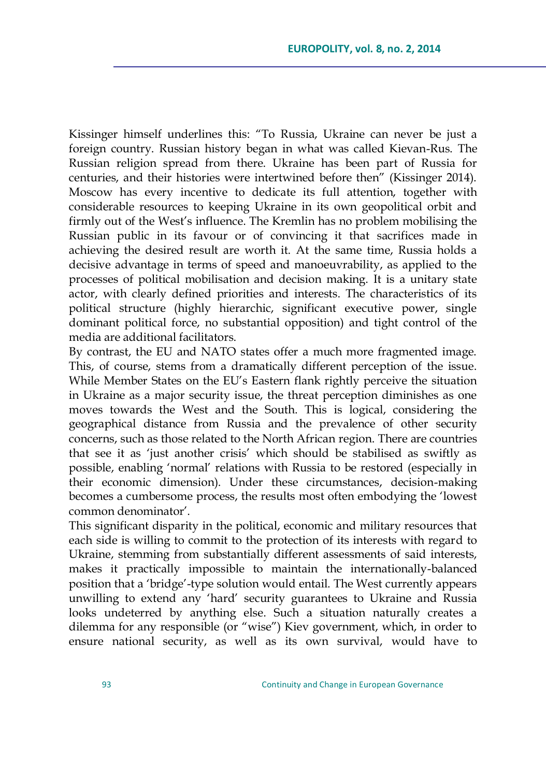Kissinger himself underlines this: "To Russia, Ukraine can never be just a foreign country. Russian history began in what was called Kievan-Rus. The Russian religion spread from there. Ukraine has been part of Russia for centuries, and their histories were intertwined before then" (Kissinger 2014). Moscow has every incentive to dedicate its full attention, together with considerable resources to keeping Ukraine in its own geopolitical orbit and firmly out of the West's influence. The Kremlin has no problem mobilising the Russian public in its favour or of convincing it that sacrifices made in achieving the desired result are worth it. At the same time, Russia holds a decisive advantage in terms of speed and manoeuvrability, as applied to the processes of political mobilisation and decision making. It is a unitary state actor, with clearly defined priorities and interests. The characteristics of its political structure (highly hierarchic, significant executive power, single dominant political force, no substantial opposition) and tight control of the media are additional facilitators.

By contrast, the EU and NATO states offer a much more fragmented image. This, of course, stems from a dramatically different perception of the issue. While Member States on the EU's Eastern flank rightly perceive the situation in Ukraine as a major security issue, the threat perception diminishes as one moves towards the West and the South. This is logical, considering the geographical distance from Russia and the prevalence of other security concerns, such as those related to the North African region. There are countries that see it as 'just another crisis' which should be stabilised as swiftly as possible, enabling 'normal' relations with Russia to be restored (especially in their economic dimension). Under these circumstances, decision-making becomes a cumbersome process, the results most often embodying the 'lowest common denominator'.

This significant disparity in the political, economic and military resources that each side is willing to commit to the protection of its interests with regard to Ukraine, stemming from substantially different assessments of said interests, makes it practically impossible to maintain the internationally-balanced position that a 'bridge'-type solution would entail. The West currently appears unwilling to extend any 'hard' security guarantees to Ukraine and Russia looks undeterred by anything else. Such a situation naturally creates a dilemma for any responsible (or "wise") Kiev government, which, in order to ensure national security, as well as its own survival, would have to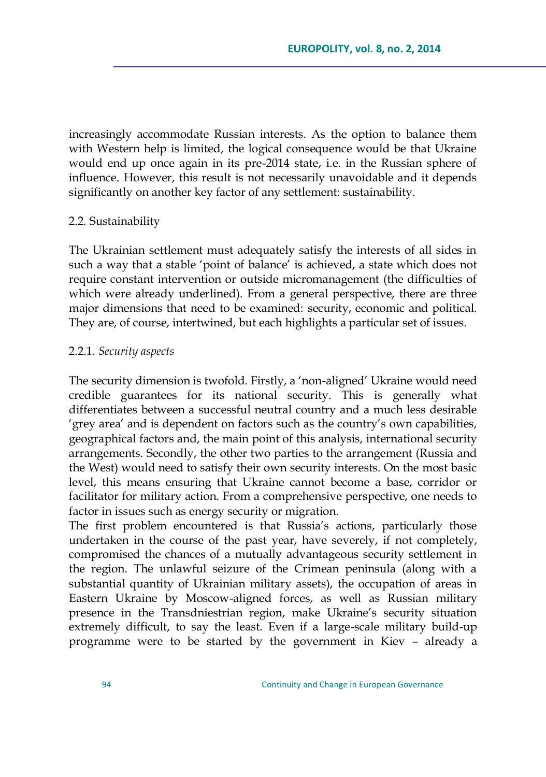increasingly accommodate Russian interests. As the option to balance them with Western help is limited, the logical consequence would be that Ukraine would end up once again in its pre-2014 state, i.e. in the Russian sphere of influence. However, this result is not necessarily unavoidable and it depends significantly on another key factor of any settlement: sustainability.

#### 2.2. Sustainability

The Ukrainian settlement must adequately satisfy the interests of all sides in such a way that a stable 'point of balance' is achieved, a state which does not require constant intervention or outside micromanagement (the difficulties of which were already underlined). From a general perspective, there are three major dimensions that need to be examined: security, economic and political. They are, of course, intertwined, but each highlights a particular set of issues.

#### 2.2.1. *Security aspects*

The security dimension is twofold. Firstly, a 'non-aligned' Ukraine would need credible guarantees for its national security. This is generally what differentiates between a successful neutral country and a much less desirable ‗grey area' and is dependent on factors such as the country's own capabilities, geographical factors and, the main point of this analysis, international security arrangements. Secondly, the other two parties to the arrangement (Russia and the West) would need to satisfy their own security interests. On the most basic level, this means ensuring that Ukraine cannot become a base, corridor or facilitator for military action. From a comprehensive perspective, one needs to factor in issues such as energy security or migration.

The first problem encountered is that Russia's actions, particularly those undertaken in the course of the past year, have severely, if not completely, compromised the chances of a mutually advantageous security settlement in the region. The unlawful seizure of the Crimean peninsula (along with a substantial quantity of Ukrainian military assets), the occupation of areas in Eastern Ukraine by Moscow-aligned forces, as well as Russian military presence in the Transdniestrian region, make Ukraine's security situation extremely difficult, to say the least. Even if a large-scale military build-up programme were to be started by the government in Kiev – already a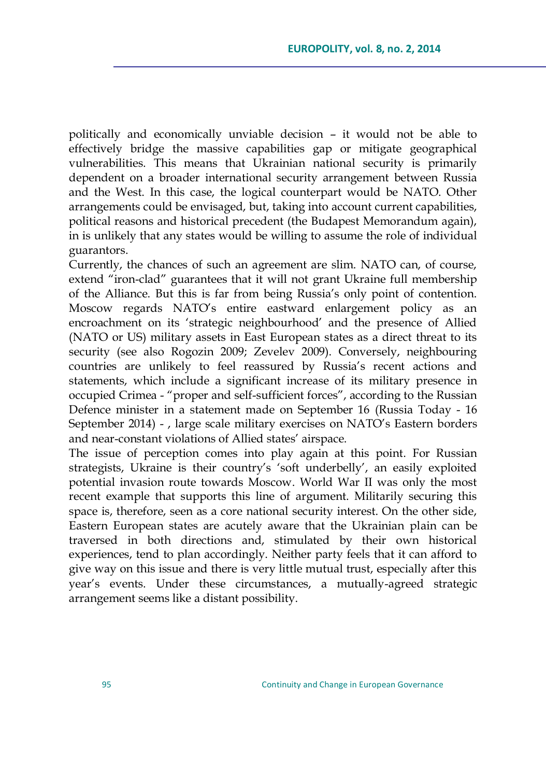politically and economically unviable decision – it would not be able to effectively bridge the massive capabilities gap or mitigate geographical vulnerabilities. This means that Ukrainian national security is primarily dependent on a broader international security arrangement between Russia and the West. In this case, the logical counterpart would be NATO. Other arrangements could be envisaged, but, taking into account current capabilities, political reasons and historical precedent (the Budapest Memorandum again), in is unlikely that any states would be willing to assume the role of individual guarantors.

Currently, the chances of such an agreement are slim. NATO can, of course, extend "iron-clad" guarantees that it will not grant Ukraine full membership of the Alliance. But this is far from being Russia's only point of contention. Moscow regards NATO's entire eastward enlargement policy as an encroachment on its 'strategic neighbourhood' and the presence of Allied (NATO or US) military assets in East European states as a direct threat to its security (see also Rogozin 2009; Zevelev 2009). Conversely, neighbouring countries are unlikely to feel reassured by Russia's recent actions and statements, which include a significant increase of its military presence in occupied Crimea - "proper and self-sufficient forces", according to the Russian Defence minister in a statement made on September 16 (Russia Today - 16 September 2014) - , large scale military exercises on NATO's Eastern borders and near-constant violations of Allied states' airspace.

The issue of perception comes into play again at this point. For Russian strategists, Ukraine is their country's 'soft underbelly', an easily exploited potential invasion route towards Moscow. World War II was only the most recent example that supports this line of argument. Militarily securing this space is, therefore, seen as a core national security interest. On the other side, Eastern European states are acutely aware that the Ukrainian plain can be traversed in both directions and, stimulated by their own historical experiences, tend to plan accordingly. Neither party feels that it can afford to give way on this issue and there is very little mutual trust, especially after this year's events. Under these circumstances, a mutually-agreed strategic arrangement seems like a distant possibility.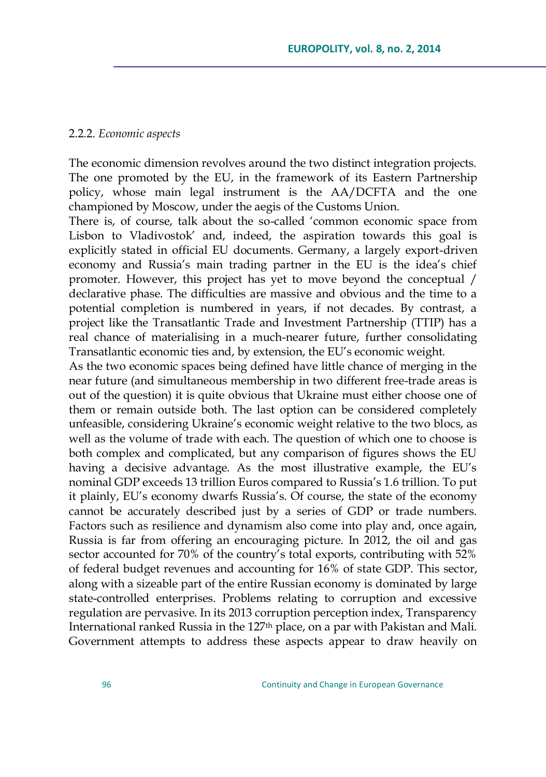#### 2.2.2. *Economic aspects*

The economic dimension revolves around the two distinct integration projects. The one promoted by the EU, in the framework of its Eastern Partnership policy, whose main legal instrument is the AA/DCFTA and the one championed by Moscow, under the aegis of the Customs Union.

There is, of course, talk about the so-called 'common economic space from Lisbon to Vladivostok' and, indeed, the aspiration towards this goal is explicitly stated in official EU documents. Germany, a largely export-driven economy and Russia's main trading partner in the EU is the idea's chief promoter. However, this project has yet to move beyond the conceptual / declarative phase. The difficulties are massive and obvious and the time to a potential completion is numbered in years, if not decades. By contrast, a project like the Transatlantic Trade and Investment Partnership (TTIP) has a real chance of materialising in a much-nearer future, further consolidating Transatlantic economic ties and, by extension, the EU's economic weight.

As the two economic spaces being defined have little chance of merging in the near future (and simultaneous membership in two different free-trade areas is out of the question) it is quite obvious that Ukraine must either choose one of them or remain outside both. The last option can be considered completely unfeasible, considering Ukraine's economic weight relative to the two blocs, as well as the volume of trade with each. The question of which one to choose is both complex and complicated, but any comparison of figures shows the EU having a decisive advantage. As the most illustrative example, the EU's nominal GDP exceeds 13 trillion Euros compared to Russia's 1.6 trillion. To put it plainly, EU's economy dwarfs Russia's. Of course, the state of the economy cannot be accurately described just by a series of GDP or trade numbers. Factors such as resilience and dynamism also come into play and, once again, Russia is far from offering an encouraging picture. In 2012, the oil and gas sector accounted for 70% of the country's total exports, contributing with 52% of federal budget revenues and accounting for 16% of state GDP. This sector, along with a sizeable part of the entire Russian economy is dominated by large state-controlled enterprises. Problems relating to corruption and excessive regulation are pervasive. In its 2013 corruption perception index, Transparency International ranked Russia in the 127<sup>th</sup> place, on a par with Pakistan and Mali. Government attempts to address these aspects appear to draw heavily on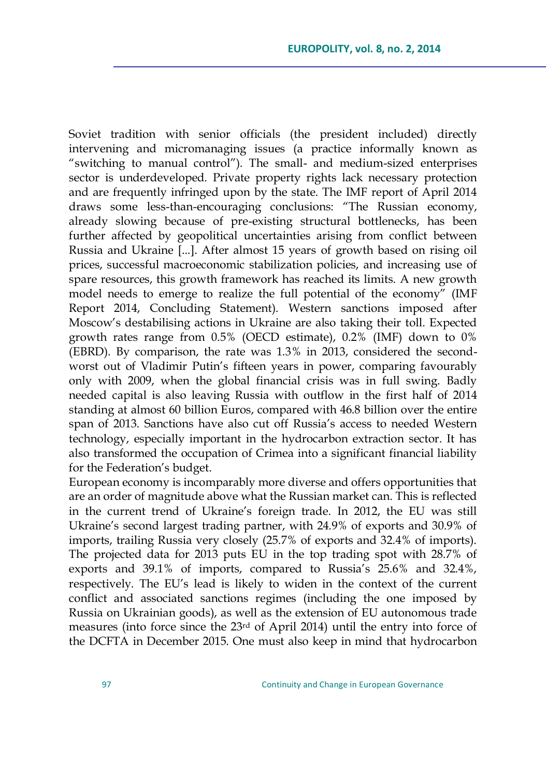Soviet tradition with senior officials (the president included) directly intervening and micromanaging issues (a practice informally known as "switching to manual control"). The small- and medium-sized enterprises sector is underdeveloped. Private property rights lack necessary protection and are frequently infringed upon by the state. The IMF report of April 2014 draws some less-than-encouraging conclusions: ―The Russian economy, already slowing because of pre-existing structural bottlenecks, has been further affected by geopolitical uncertainties arising from conflict between Russia and Ukraine [...]. After almost 15 years of growth based on rising oil prices, successful macroeconomic stabilization policies, and increasing use of spare resources, this growth framework has reached its limits. A new growth model needs to emerge to realize the full potential of the economy" (IMF Report 2014, Concluding Statement). Western sanctions imposed after Moscow's destabilising actions in Ukraine are also taking their toll. Expected growth rates range from 0.5% (OECD estimate), 0.2% (IMF) down to 0% (EBRD). By comparison, the rate was 1.3% in 2013, considered the secondworst out of Vladimir Putin's fifteen years in power, comparing favourably only with 2009, when the global financial crisis was in full swing. Badly needed capital is also leaving Russia with outflow in the first half of 2014 standing at almost 60 billion Euros, compared with 46.8 billion over the entire span of 2013. Sanctions have also cut off Russia's access to needed Western technology, especially important in the hydrocarbon extraction sector. It has also transformed the occupation of Crimea into a significant financial liability for the Federation's budget.

European economy is incomparably more diverse and offers opportunities that are an order of magnitude above what the Russian market can. This is reflected in the current trend of Ukraine's foreign trade. In 2012, the EU was still Ukraine's second largest trading partner, with 24.9% of exports and 30.9% of imports, trailing Russia very closely (25.7% of exports and 32.4% of imports). The projected data for 2013 puts EU in the top trading spot with 28.7% of exports and 39.1% of imports, compared to Russia's 25.6% and 32.4%, respectively. The EU's lead is likely to widen in the context of the current conflict and associated sanctions regimes (including the one imposed by Russia on Ukrainian goods), as well as the extension of EU autonomous trade measures (into force since the 23rd of April 2014) until the entry into force of the DCFTA in December 2015. One must also keep in mind that hydrocarbon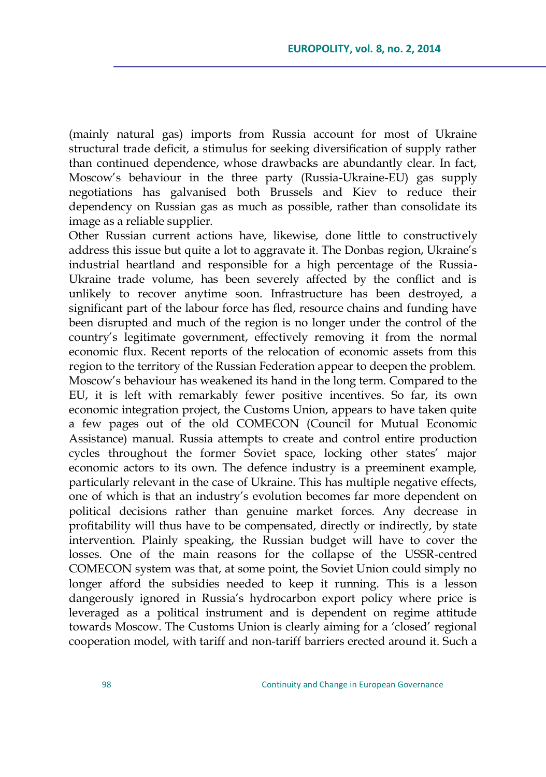(mainly natural gas) imports from Russia account for most of Ukraine structural trade deficit, a stimulus for seeking diversification of supply rather than continued dependence, whose drawbacks are abundantly clear. In fact, Moscow's behaviour in the three party (Russia-Ukraine-EU) gas supply negotiations has galvanised both Brussels and Kiev to reduce their dependency on Russian gas as much as possible, rather than consolidate its image as a reliable supplier.

Other Russian current actions have, likewise, done little to constructively address this issue but quite a lot to aggravate it. The Donbas region, Ukraine's industrial heartland and responsible for a high percentage of the Russia-Ukraine trade volume, has been severely affected by the conflict and is unlikely to recover anytime soon. Infrastructure has been destroyed, a significant part of the labour force has fled, resource chains and funding have been disrupted and much of the region is no longer under the control of the country's legitimate government, effectively removing it from the normal economic flux. Recent reports of the relocation of economic assets from this region to the territory of the Russian Federation appear to deepen the problem. Moscow's behaviour has weakened its hand in the long term. Compared to the EU, it is left with remarkably fewer positive incentives. So far, its own economic integration project, the Customs Union, appears to have taken quite a few pages out of the old COMECON (Council for Mutual Economic Assistance) manual. Russia attempts to create and control entire production cycles throughout the former Soviet space, locking other states' major economic actors to its own. The defence industry is a preeminent example, particularly relevant in the case of Ukraine. This has multiple negative effects, one of which is that an industry's evolution becomes far more dependent on political decisions rather than genuine market forces. Any decrease in profitability will thus have to be compensated, directly or indirectly, by state intervention. Plainly speaking, the Russian budget will have to cover the losses. One of the main reasons for the collapse of the USSR-centred COMECON system was that, at some point, the Soviet Union could simply no longer afford the subsidies needed to keep it running. This is a lesson dangerously ignored in Russia's hydrocarbon export policy where price is leveraged as a political instrument and is dependent on regime attitude towards Moscow. The Customs Union is clearly aiming for a 'closed' regional cooperation model, with tariff and non-tariff barriers erected around it. Such a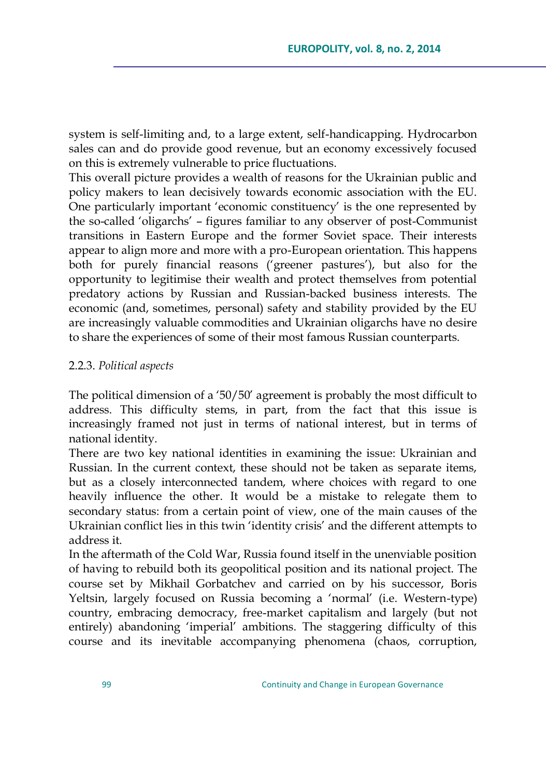system is self-limiting and, to a large extent, self-handicapping. Hydrocarbon sales can and do provide good revenue, but an economy excessively focused on this is extremely vulnerable to price fluctuations.

This overall picture provides a wealth of reasons for the Ukrainian public and policy makers to lean decisively towards economic association with the EU. One particularly important ‗economic constituency' is the one represented by the so-called 'oligarchs' - figures familiar to any observer of post-Communist transitions in Eastern Europe and the former Soviet space. Their interests appear to align more and more with a pro-European orientation. This happens both for purely financial reasons ('greener pastures'), but also for the opportunity to legitimise their wealth and protect themselves from potential predatory actions by Russian and Russian-backed business interests. The economic (and, sometimes, personal) safety and stability provided by the EU are increasingly valuable commodities and Ukrainian oligarchs have no desire to share the experiences of some of their most famous Russian counterparts.

#### 2.2.3. *Political aspects*

The political dimension of a  $50/50'$  agreement is probably the most difficult to address. This difficulty stems, in part, from the fact that this issue is increasingly framed not just in terms of national interest, but in terms of national identity.

There are two key national identities in examining the issue: Ukrainian and Russian. In the current context, these should not be taken as separate items, but as a closely interconnected tandem, where choices with regard to one heavily influence the other. It would be a mistake to relegate them to secondary status: from a certain point of view, one of the main causes of the Ukrainian conflict lies in this twin 'identity crisis' and the different attempts to address it.

In the aftermath of the Cold War, Russia found itself in the unenviable position of having to rebuild both its geopolitical position and its national project. The course set by Mikhail Gorbatchev and carried on by his successor, Boris Yeltsin, largely focused on Russia becoming a 'normal' (i.e. Western-type) country, embracing democracy, free-market capitalism and largely (but not entirely) abandoning 'imperial' ambitions. The staggering difficulty of this course and its inevitable accompanying phenomena (chaos, corruption,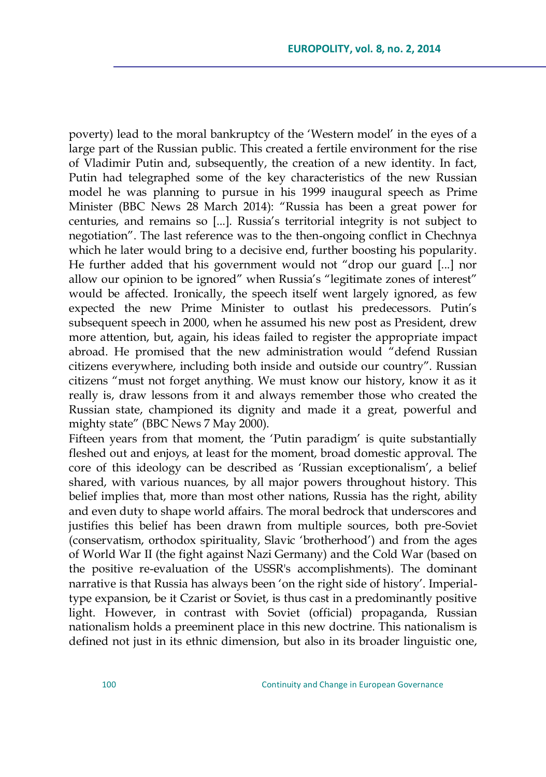poverty) lead to the moral bankruptcy of the ‗Western model' in the eyes of a large part of the Russian public. This created a fertile environment for the rise of Vladimir Putin and, subsequently, the creation of a new identity. In fact, Putin had telegraphed some of the key characteristics of the new Russian model he was planning to pursue in his 1999 inaugural speech as Prime Minister (BBC News 28 March 2014): "Russia has been a great power for centuries, and remains so [...]. Russia's territorial integrity is not subject to negotiation". The last reference was to the then-ongoing conflict in Chechnya which he later would bring to a decisive end, further boosting his popularity. He further added that his government would not "drop our guard [...] nor allow our opinion to be ignored" when Russia's "legitimate zones of interest" would be affected. Ironically, the speech itself went largely ignored, as few expected the new Prime Minister to outlast his predecessors. Putin's subsequent speech in 2000, when he assumed his new post as President, drew more attention, but, again, his ideas failed to register the appropriate impact abroad. He promised that the new administration would "defend Russian citizens everywhere, including both inside and outside our country". Russian citizens "must not forget anything. We must know our history, know it as it really is, draw lessons from it and always remember those who created the Russian state, championed its dignity and made it a great, powerful and mighty state" (BBC News 7 May 2000).

Fifteen years from that moment, the 'Putin paradigm' is quite substantially fleshed out and enjoys, at least for the moment, broad domestic approval. The core of this ideology can be described as 'Russian exceptionalism', a belief shared, with various nuances, by all major powers throughout history. This belief implies that, more than most other nations, Russia has the right, ability and even duty to shape world affairs. The moral bedrock that underscores and justifies this belief has been drawn from multiple sources, both pre-Soviet (conservatism, orthodox spirituality, Slavic 'brotherhood') and from the ages of World War II (the fight against Nazi Germany) and the Cold War (based on the positive re-evaluation of the USSR's accomplishments). The dominant narrative is that Russia has always been 'on the right side of history'. Imperialtype expansion, be it Czarist or Soviet, is thus cast in a predominantly positive light. However, in contrast with Soviet (official) propaganda, Russian nationalism holds a preeminent place in this new doctrine. This nationalism is defined not just in its ethnic dimension, but also in its broader linguistic one,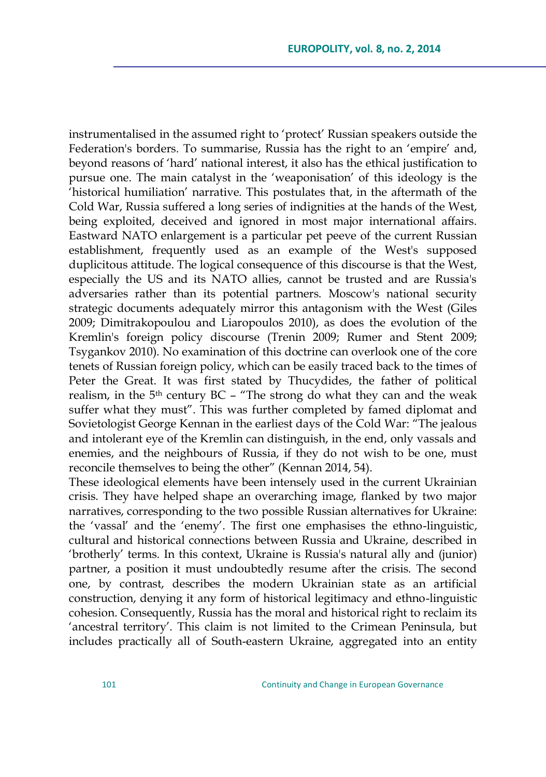instrumentalised in the assumed right to 'protect' Russian speakers outside the Federation's borders. To summarise, Russia has the right to an 'empire' and, beyond reasons of 'hard' national interest, it also has the ethical justification to pursue one. The main catalyst in the 'weaponisation' of this ideology is the ‗historical humiliation' narrative. This postulates that, in the aftermath of the Cold War, Russia suffered a long series of indignities at the hands of the West, being exploited, deceived and ignored in most major international affairs. Eastward NATO enlargement is a particular pet peeve of the current Russian establishment, frequently used as an example of the West's supposed duplicitous attitude. The logical consequence of this discourse is that the West, especially the US and its NATO allies, cannot be trusted and are Russia's adversaries rather than its potential partners. Moscow's national security strategic documents adequately mirror this antagonism with the West (Giles 2009; Dimitrakopoulou and Liaropoulos 2010), as does the evolution of the Kremlin's foreign policy discourse (Trenin 2009; Rumer and Stent 2009; Tsygankov 2010). No examination of this doctrine can overlook one of the core tenets of Russian foreign policy, which can be easily traced back to the times of Peter the Great. It was first stated by Thucydides, the father of political realism, in the  $5<sup>th</sup>$  century BC – "The strong do what they can and the weak suffer what they must". This was further completed by famed diplomat and Sovietologist George Kennan in the earliest days of the Cold War: "The jealous and intolerant eye of the Kremlin can distinguish, in the end, only vassals and enemies, and the neighbours of Russia, if they do not wish to be one, must reconcile themselves to being the other" (Kennan 2014, 54).

These ideological elements have been intensely used in the current Ukrainian crisis. They have helped shape an overarching image, flanked by two major narratives, corresponding to the two possible Russian alternatives for Ukraine: the 'vassal' and the 'enemy'. The first one emphasises the ethno-linguistic, cultural and historical connections between Russia and Ukraine, described in ‗brotherly' terms. In this context, Ukraine is Russia's natural ally and (junior) partner, a position it must undoubtedly resume after the crisis. The second one, by contrast, describes the modern Ukrainian state as an artificial construction, denying it any form of historical legitimacy and ethno-linguistic cohesion. Consequently, Russia has the moral and historical right to reclaim its ‗ancestral territory'. This claim is not limited to the Crimean Peninsula, but includes practically all of South-eastern Ukraine, aggregated into an entity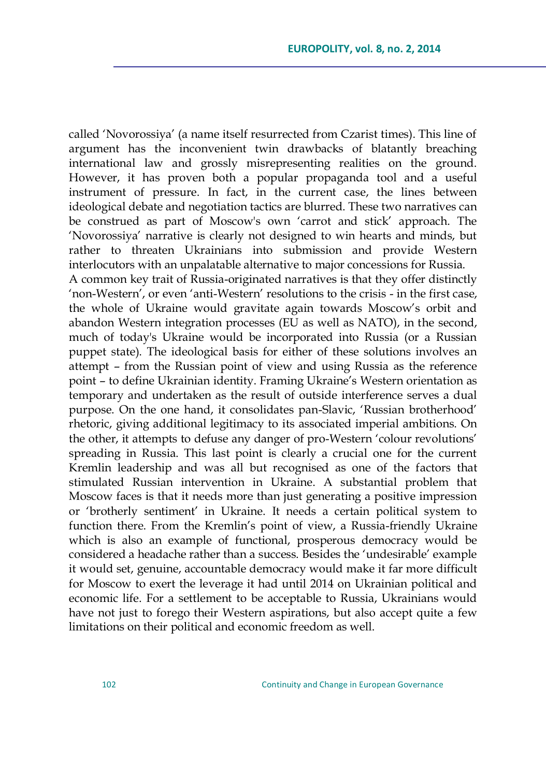called ‗Novorossiya' (a name itself resurrected from Czarist times). This line of argument has the inconvenient twin drawbacks of blatantly breaching international law and grossly misrepresenting realities on the ground. However, it has proven both a popular propaganda tool and a useful instrument of pressure. In fact, in the current case, the lines between ideological debate and negotiation tactics are blurred. These two narratives can be construed as part of Moscow's own 'carrot and stick' approach. The ‗Novorossiya' narrative is clearly not designed to win hearts and minds, but rather to threaten Ukrainians into submission and provide Western interlocutors with an unpalatable alternative to major concessions for Russia. A common key trait of Russia-originated narratives is that they offer distinctly ‗non-Western', or even ‗anti-Western' resolutions to the crisis - in the first case, the whole of Ukraine would gravitate again towards Moscow's orbit and abandon Western integration processes (EU as well as NATO), in the second, much of today's Ukraine would be incorporated into Russia (or a Russian puppet state). The ideological basis for either of these solutions involves an attempt – from the Russian point of view and using Russia as the reference point – to define Ukrainian identity. Framing Ukraine's Western orientation as temporary and undertaken as the result of outside interference serves a dual purpose. On the one hand, it consolidates pan-Slavic, 'Russian brotherhood' rhetoric, giving additional legitimacy to its associated imperial ambitions. On the other, it attempts to defuse any danger of pro-Western 'colour revolutions' spreading in Russia. This last point is clearly a crucial one for the current Kremlin leadership and was all but recognised as one of the factors that stimulated Russian intervention in Ukraine. A substantial problem that Moscow faces is that it needs more than just generating a positive impression or ‗brotherly sentiment' in Ukraine. It needs a certain political system to function there. From the Kremlin's point of view, a Russia-friendly Ukraine which is also an example of functional, prosperous democracy would be considered a headache rather than a success. Besides the 'undesirable' example it would set, genuine, accountable democracy would make it far more difficult for Moscow to exert the leverage it had until 2014 on Ukrainian political and economic life. For a settlement to be acceptable to Russia, Ukrainians would have not just to forego their Western aspirations, but also accept quite a few limitations on their political and economic freedom as well.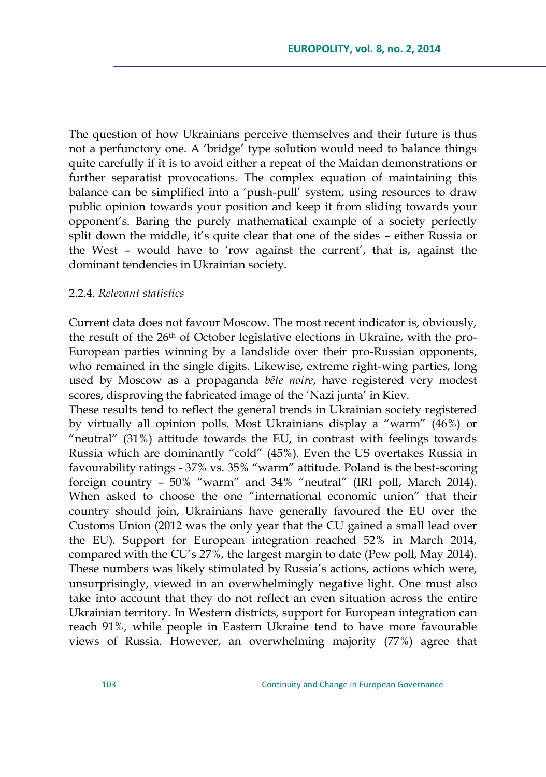The question of how Ukrainians perceive themselves and their future is thus not a perfunctory one. A ‗bridge' type solution would need to balance things quite carefully if it is to avoid either a repeat of the Maidan demonstrations or further separatist provocations. The complex equation of maintaining this balance can be simplified into a 'push-pull' system, using resources to draw public opinion towards your position and keep it from sliding towards your opponent's. Baring the purely mathematical example of a society perfectly split down the middle, it's quite clear that one of the sides – either Russia or the West - would have to 'row against the current', that is, against the dominant tendencies in Ukrainian society.

#### 2.2.4. *Relevant statistics*

Current data does not favour Moscow. The most recent indicator is, obviously, the result of the 26th of October legislative elections in Ukraine, with the pro-European parties winning by a landslide over their pro-Russian opponents, who remained in the single digits. Likewise, extreme right-wing parties, long used by Moscow as a propaganda *bête noire*, have registered very modest scores, disproving the fabricated image of the 'Nazi junta' in Kiev.

These results tend to reflect the general trends in Ukrainian society registered by virtually all opinion polls. Most Ukrainians display a "warm" (46%) or "neutral"  $(31%)$  attitude towards the EU, in contrast with feelings towards Russia which are dominantly "cold" (45%). Even the US overtakes Russia in favourability ratings - 37% vs. 35% "warm" attitude. Poland is the best-scoring foreign country  $-50\%$  "warm" and 34% "neutral" (IRI poll, March 2014). When asked to choose the one "international economic union" that their country should join, Ukrainians have generally favoured the EU over the Customs Union (2012 was the only year that the CU gained a small lead over the EU). Support for European integration reached 52% in March 2014, compared with the CU's 27%, the largest margin to date (Pew poll, May 2014). These numbers was likely stimulated by Russia's actions, actions which were, unsurprisingly, viewed in an overwhelmingly negative light. One must also take into account that they do not reflect an even situation across the entire Ukrainian territory. In Western districts, support for European integration can reach 91%, while people in Eastern Ukraine tend to have more favourable views of Russia. However, an overwhelming majority (77%) agree that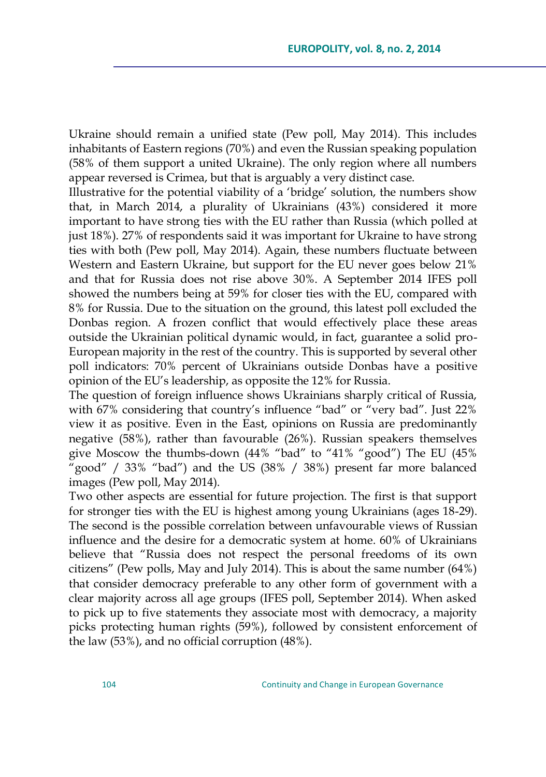Ukraine should remain a unified state (Pew poll, May 2014). This includes inhabitants of Eastern regions (70%) and even the Russian speaking population (58% of them support a united Ukraine). The only region where all numbers appear reversed is Crimea, but that is arguably a very distinct case.

Illustrative for the potential viability of a ‗bridge' solution, the numbers show that, in March 2014, a plurality of Ukrainians (43%) considered it more important to have strong ties with the EU rather than Russia (which polled at just 18%). 27% of respondents said it was important for Ukraine to have strong ties with both (Pew poll, May 2014). Again, these numbers fluctuate between Western and Eastern Ukraine, but support for the EU never goes below 21% and that for Russia does not rise above 30%. A September 2014 IFES poll showed the numbers being at 59% for closer ties with the EU, compared with 8% for Russia. Due to the situation on the ground, this latest poll excluded the Donbas region. A frozen conflict that would effectively place these areas outside the Ukrainian political dynamic would, in fact, guarantee a solid pro-European majority in the rest of the country. This is supported by several other poll indicators: 70% percent of Ukrainians outside Donbas have a positive opinion of the EU's leadership, as opposite the 12% for Russia.

The question of foreign influence shows Ukrainians sharply critical of Russia, with  $67\%$  considering that country's influence "bad" or "very bad". Just  $22\%$ view it as positive. Even in the East, opinions on Russia are predominantly negative (58%), rather than favourable (26%). Russian speakers themselves give Moscow the thumbs-down  $(44\%$  "bad" to " $41\%$  "good") The EU  $(45\%$ good" / 33% "bad") and the US (38% / 38%) present far more balanced images (Pew poll, May 2014).

Two other aspects are essential for future projection. The first is that support for stronger ties with the EU is highest among young Ukrainians (ages 18-29). The second is the possible correlation between unfavourable views of Russian influence and the desire for a democratic system at home. 60% of Ukrainians believe that "Russia does not respect the personal freedoms of its own citizens" (Pew polls, May and July 2014). This is about the same number  $(64%)$ that consider democracy preferable to any other form of government with a clear majority across all age groups (IFES poll, September 2014). When asked to pick up to five statements they associate most with democracy, a majority picks protecting human rights (59%), followed by consistent enforcement of the law (53%), and no official corruption (48%).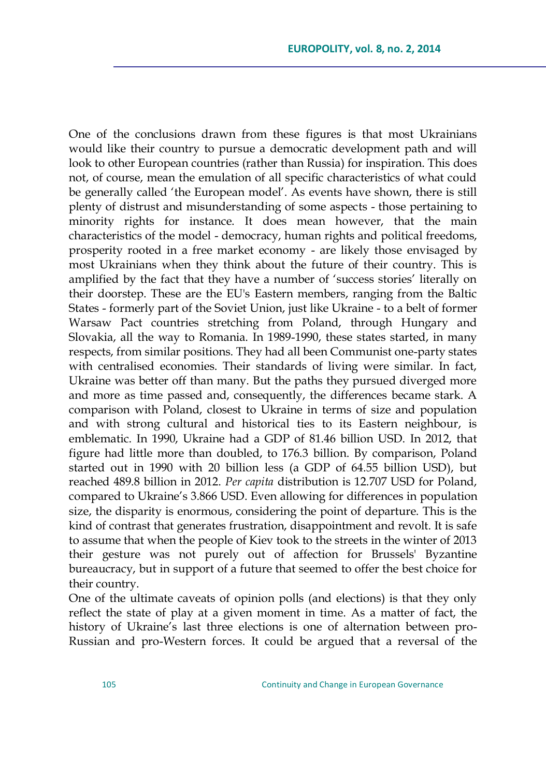One of the conclusions drawn from these figures is that most Ukrainians would like their country to pursue a democratic development path and will look to other European countries (rather than Russia) for inspiration. This does not, of course, mean the emulation of all specific characteristics of what could be generally called 'the European model'. As events have shown, there is still plenty of distrust and misunderstanding of some aspects - those pertaining to minority rights for instance. It does mean however, that the main characteristics of the model - democracy, human rights and political freedoms, prosperity rooted in a free market economy - are likely those envisaged by most Ukrainians when they think about the future of their country. This is amplified by the fact that they have a number of 'success stories' literally on their doorstep. These are the EU's Eastern members, ranging from the Baltic States - formerly part of the Soviet Union, just like Ukraine - to a belt of former Warsaw Pact countries stretching from Poland, through Hungary and Slovakia, all the way to Romania. In 1989-1990, these states started, in many respects, from similar positions. They had all been Communist one-party states with centralised economies. Their standards of living were similar. In fact, Ukraine was better off than many. But the paths they pursued diverged more and more as time passed and, consequently, the differences became stark. A comparison with Poland, closest to Ukraine in terms of size and population and with strong cultural and historical ties to its Eastern neighbour, is emblematic. In 1990, Ukraine had a GDP of 81.46 billion USD. In 2012, that figure had little more than doubled, to 176.3 billion. By comparison, Poland started out in 1990 with 20 billion less (a GDP of 64.55 billion USD), but reached 489.8 billion in 2012. *Per capita* distribution is 12.707 USD for Poland, compared to Ukraine's 3.866 USD. Even allowing for differences in population size, the disparity is enormous, considering the point of departure. This is the kind of contrast that generates frustration, disappointment and revolt. It is safe to assume that when the people of Kiev took to the streets in the winter of 2013 their gesture was not purely out of affection for Brussels' Byzantine bureaucracy, but in support of a future that seemed to offer the best choice for their country.

One of the ultimate caveats of opinion polls (and elections) is that they only reflect the state of play at a given moment in time. As a matter of fact, the history of Ukraine's last three elections is one of alternation between pro-Russian and pro-Western forces. It could be argued that a reversal of the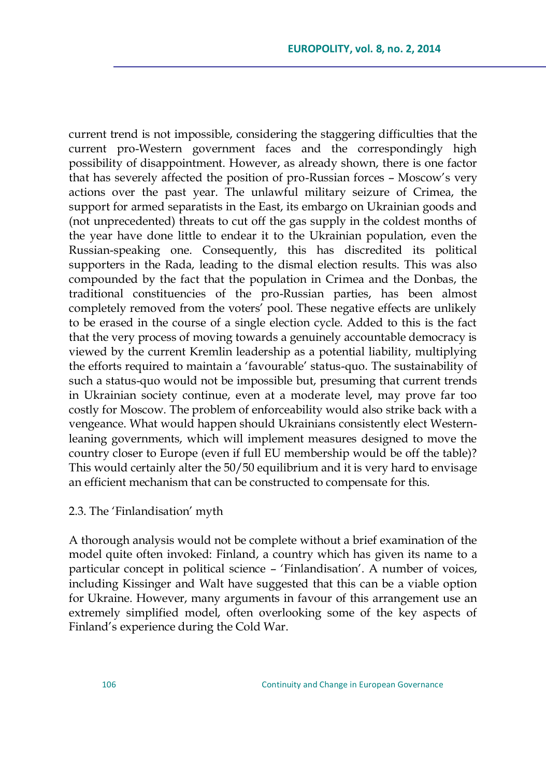current trend is not impossible, considering the staggering difficulties that the current pro-Western government faces and the correspondingly high possibility of disappointment. However, as already shown, there is one factor that has severely affected the position of pro-Russian forces – Moscow's very actions over the past year. The unlawful military seizure of Crimea, the support for armed separatists in the East, its embargo on Ukrainian goods and (not unprecedented) threats to cut off the gas supply in the coldest months of the year have done little to endear it to the Ukrainian population, even the Russian-speaking one. Consequently, this has discredited its political supporters in the Rada, leading to the dismal election results. This was also compounded by the fact that the population in Crimea and the Donbas, the traditional constituencies of the pro-Russian parties, has been almost completely removed from the voters' pool. These negative effects are unlikely to be erased in the course of a single election cycle. Added to this is the fact that the very process of moving towards a genuinely accountable democracy is viewed by the current Kremlin leadership as a potential liability, multiplying the efforts required to maintain a 'favourable' status-quo. The sustainability of such a status-quo would not be impossible but, presuming that current trends in Ukrainian society continue, even at a moderate level, may prove far too costly for Moscow. The problem of enforceability would also strike back with a vengeance. What would happen should Ukrainians consistently elect Westernleaning governments, which will implement measures designed to move the country closer to Europe (even if full EU membership would be off the table)? This would certainly alter the 50/50 equilibrium and it is very hard to envisage an efficient mechanism that can be constructed to compensate for this.

2.3. The 'Finlandisation' myth

A thorough analysis would not be complete without a brief examination of the model quite often invoked: Finland, a country which has given its name to a particular concept in political science – 'Finlandisation'. A number of voices, including Kissinger and Walt have suggested that this can be a viable option for Ukraine. However, many arguments in favour of this arrangement use an extremely simplified model, often overlooking some of the key aspects of Finland's experience during the Cold War.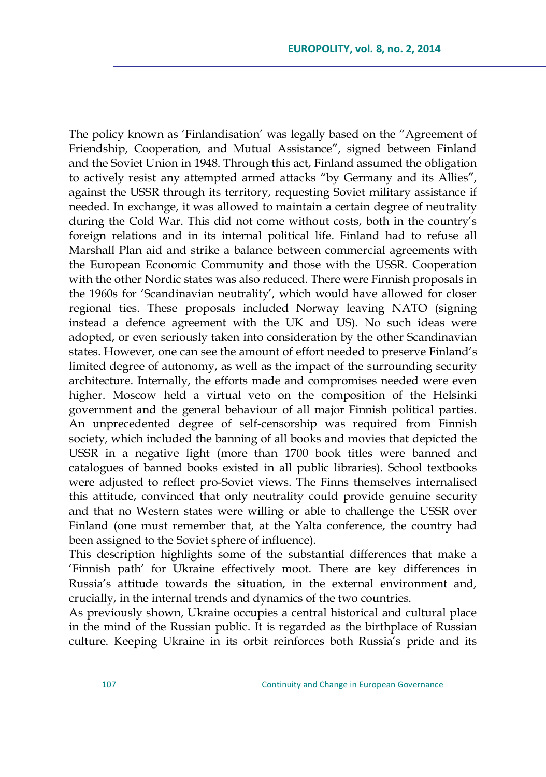The policy known as 'Finlandisation' was legally based on the "Agreement of Friendship, Cooperation, and Mutual Assistance", signed between Finland and the Soviet Union in 1948. Through this act, Finland assumed the obligation to actively resist any attempted armed attacks "by Germany and its Allies", against the USSR through its territory, requesting Soviet military assistance if needed. In exchange, it was allowed to maintain a certain degree of neutrality during the Cold War. This did not come without costs, both in the country's foreign relations and in its internal political life. Finland had to refuse all Marshall Plan aid and strike a balance between commercial agreements with the European Economic Community and those with the USSR. Cooperation with the other Nordic states was also reduced. There were Finnish proposals in the 1960s for 'Scandinavian neutrality', which would have allowed for closer regional ties. These proposals included Norway leaving NATO (signing instead a defence agreement with the UK and US). No such ideas were adopted, or even seriously taken into consideration by the other Scandinavian states. However, one can see the amount of effort needed to preserve Finland's limited degree of autonomy, as well as the impact of the surrounding security architecture. Internally, the efforts made and compromises needed were even higher. Moscow held a virtual veto on the composition of the Helsinki government and the general behaviour of all major Finnish political parties. An unprecedented degree of self-censorship was required from Finnish society, which included the banning of all books and movies that depicted the USSR in a negative light (more than 1700 book titles were banned and catalogues of banned books existed in all public libraries). School textbooks were adjusted to reflect pro-Soviet views. The Finns themselves internalised this attitude, convinced that only neutrality could provide genuine security and that no Western states were willing or able to challenge the USSR over Finland (one must remember that, at the Yalta conference, the country had been assigned to the Soviet sphere of influence).

This description highlights some of the substantial differences that make a ‗Finnish path' for Ukraine effectively moot. There are key differences in Russia's attitude towards the situation, in the external environment and, crucially, in the internal trends and dynamics of the two countries.

As previously shown, Ukraine occupies a central historical and cultural place in the mind of the Russian public. It is regarded as the birthplace of Russian culture. Keeping Ukraine in its orbit reinforces both Russia's pride and its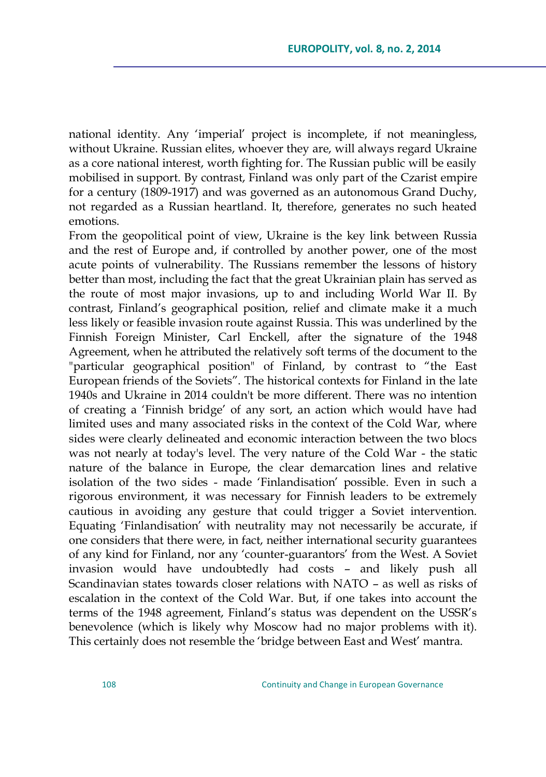national identity. Any 'imperial' project is incomplete, if not meaningless, without Ukraine. Russian elites, whoever they are, will always regard Ukraine as a core national interest, worth fighting for. The Russian public will be easily mobilised in support. By contrast, Finland was only part of the Czarist empire for a century (1809-1917) and was governed as an autonomous Grand Duchy, not regarded as a Russian heartland. It, therefore, generates no such heated emotions.

From the geopolitical point of view, Ukraine is the key link between Russia and the rest of Europe and, if controlled by another power, one of the most acute points of vulnerability. The Russians remember the lessons of history better than most, including the fact that the great Ukrainian plain has served as the route of most major invasions, up to and including World War II. By contrast, Finland's geographical position, relief and climate make it a much less likely or feasible invasion route against Russia. This was underlined by the Finnish Foreign Minister, Carl Enckell, after the signature of the 1948 Agreement, when he attributed the relatively soft terms of the document to the "particular geographical position" of Finland, by contrast to "the East European friends of the Soviets". The historical contexts for Finland in the late 1940s and Ukraine in 2014 couldn't be more different. There was no intention of creating a ‗Finnish bridge' of any sort, an action which would have had limited uses and many associated risks in the context of the Cold War, where sides were clearly delineated and economic interaction between the two blocs was not nearly at today's level. The very nature of the Cold War - the static nature of the balance in Europe, the clear demarcation lines and relative isolation of the two sides - made 'Finlandisation' possible. Even in such a rigorous environment, it was necessary for Finnish leaders to be extremely cautious in avoiding any gesture that could trigger a Soviet intervention. Equating 'Finlandisation' with neutrality may not necessarily be accurate, if one considers that there were, in fact, neither international security guarantees of any kind for Finland, nor any 'counter-guarantors' from the West. A Soviet invasion would have undoubtedly had costs – and likely push all Scandinavian states towards closer relations with NATO – as well as risks of escalation in the context of the Cold War. But, if one takes into account the terms of the 1948 agreement, Finland's status was dependent on the USSR's benevolence (which is likely why Moscow had no major problems with it). This certainly does not resemble the 'bridge between East and West' mantra.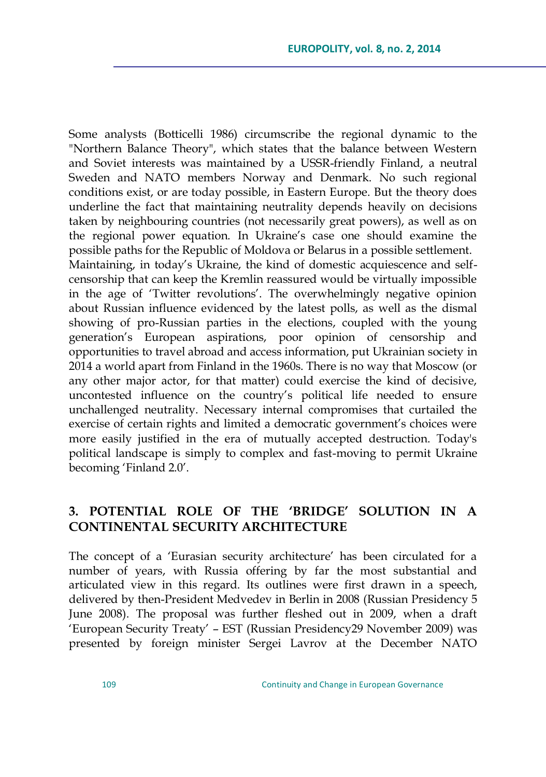Some analysts (Botticelli 1986) circumscribe the regional dynamic to the "Northern Balance Theory", which states that the balance between Western and Soviet interests was maintained by a USSR-friendly Finland, a neutral Sweden and NATO members Norway and Denmark. No such regional conditions exist, or are today possible, in Eastern Europe. But the theory does underline the fact that maintaining neutrality depends heavily on decisions taken by neighbouring countries (not necessarily great powers), as well as on the regional power equation. In Ukraine's case one should examine the possible paths for the Republic of Moldova or Belarus in a possible settlement. Maintaining, in today's Ukraine, the kind of domestic acquiescence and selfcensorship that can keep the Kremlin reassured would be virtually impossible in the age of 'Twitter revolutions'. The overwhelmingly negative opinion about Russian influence evidenced by the latest polls, as well as the dismal showing of pro-Russian parties in the elections, coupled with the young generation's European aspirations, poor opinion of censorship and opportunities to travel abroad and access information, put Ukrainian society in 2014 a world apart from Finland in the 1960s. There is no way that Moscow (or any other major actor, for that matter) could exercise the kind of decisive, uncontested influence on the country's political life needed to ensure unchallenged neutrality. Necessary internal compromises that curtailed the exercise of certain rights and limited a democratic government's choices were more easily justified in the era of mutually accepted destruction. Today's political landscape is simply to complex and fast-moving to permit Ukraine becoming 'Finland 2.0'.

# **3. POTENTIAL ROLE OF THE "BRIDGE" SOLUTION IN A CONTINENTAL SECURITY ARCHITECTURE**

The concept of a 'Eurasian security architecture' has been circulated for a number of years, with Russia offering by far the most substantial and articulated view in this regard. Its outlines were first drawn in a speech, delivered by then-President Medvedev in Berlin in 2008 (Russian Presidency 5 June 2008). The proposal was further fleshed out in 2009, when a draft ‗European Security Treaty' – EST (Russian Presidency29 November 2009) was presented by foreign minister Sergei Lavrov at the December NATO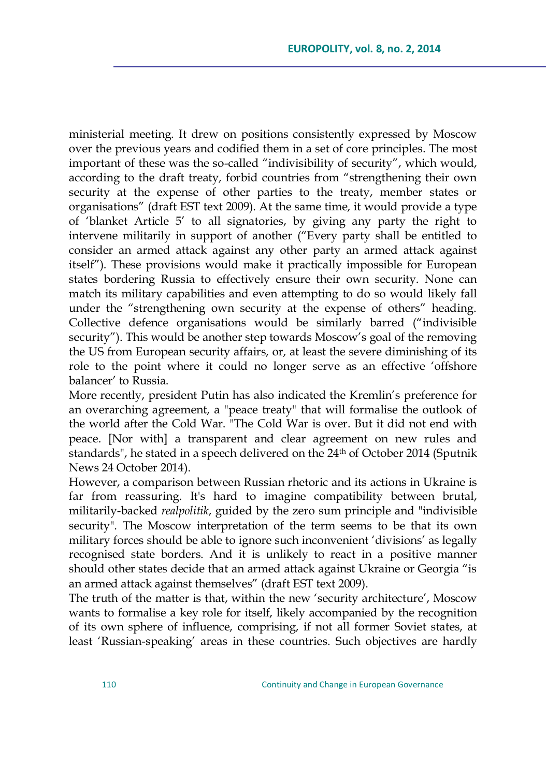ministerial meeting. It drew on positions consistently expressed by Moscow over the previous years and codified them in a set of core principles. The most important of these was the so-called "indivisibility of security", which would, according to the draft treaty, forbid countries from "strengthening their own security at the expense of other parties to the treaty, member states or organisations‖ (draft EST text 2009). At the same time, it would provide a type of ‗blanket Article 5' to all signatories, by giving any party the right to intervene militarily in support of another ("Every party shall be entitled to consider an armed attack against any other party an armed attack against itself"). These provisions would make it practically impossible for European states bordering Russia to effectively ensure their own security. None can match its military capabilities and even attempting to do so would likely fall under the "strengthening own security at the expense of others" heading. Collective defence organisations would be similarly barred ("indivisible security"). This would be another step towards Moscow's goal of the removing the US from European security affairs, or, at least the severe diminishing of its role to the point where it could no longer serve as an effective 'offshore balancer' to Russia.

More recently, president Putin has also indicated the Kremlin's preference for an overarching agreement, a "peace treaty" that will formalise the outlook of the world after the Cold War. "The Cold War is over. But it did not end with peace. [Nor with] a transparent and clear agreement on new rules and standards", he stated in a speech delivered on the 24<sup>th</sup> of October 2014 (Sputnik News 24 October 2014).

However, a comparison between Russian rhetoric and its actions in Ukraine is far from reassuring. It's hard to imagine compatibility between brutal, militarily-backed *realpolitik*, guided by the zero sum principle and "indivisible security". The Moscow interpretation of the term seems to be that its own military forces should be able to ignore such inconvenient 'divisions' as legally recognised state borders. And it is unlikely to react in a positive manner should other states decide that an armed attack against Ukraine or Georgia "is an armed attack against themselves" (draft EST text 2009).

The truth of the matter is that, within the new 'security architecture', Moscow wants to formalise a key role for itself, likely accompanied by the recognition of its own sphere of influence, comprising, if not all former Soviet states, at least 'Russian-speaking' areas in these countries. Such objectives are hardly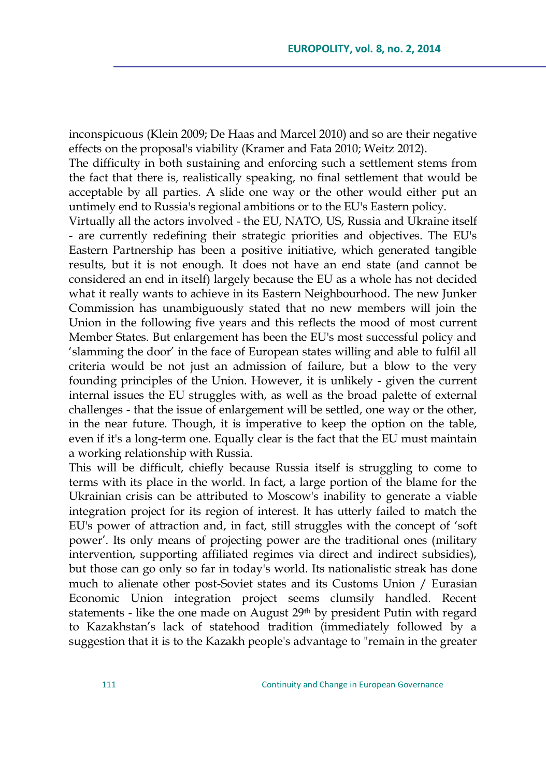inconspicuous (Klein 2009; De Haas and Marcel 2010) and so are their negative effects on the proposal's viability (Kramer and Fata 2010; Weitz 2012).

The difficulty in both sustaining and enforcing such a settlement stems from the fact that there is, realistically speaking, no final settlement that would be acceptable by all parties. A slide one way or the other would either put an untimely end to Russia's regional ambitions or to the EU's Eastern policy.

Virtually all the actors involved - the EU, NATO, US, Russia and Ukraine itself - are currently redefining their strategic priorities and objectives. The EU's Eastern Partnership has been a positive initiative, which generated tangible results, but it is not enough. It does not have an end state (and cannot be considered an end in itself) largely because the EU as a whole has not decided what it really wants to achieve in its Eastern Neighbourhood. The new Junker Commission has unambiguously stated that no new members will join the Union in the following five years and this reflects the mood of most current Member States. But enlargement has been the EU's most successful policy and ‗slamming the door' in the face of European states willing and able to fulfil all criteria would be not just an admission of failure, but a blow to the very founding principles of the Union. However, it is unlikely - given the current internal issues the EU struggles with, as well as the broad palette of external challenges - that the issue of enlargement will be settled, one way or the other, in the near future. Though, it is imperative to keep the option on the table, even if it's a long-term one. Equally clear is the fact that the EU must maintain a working relationship with Russia.

This will be difficult, chiefly because Russia itself is struggling to come to terms with its place in the world. In fact, a large portion of the blame for the Ukrainian crisis can be attributed to Moscow's inability to generate a viable integration project for its region of interest. It has utterly failed to match the EU's power of attraction and, in fact, still struggles with the concept of 'soft power'. Its only means of projecting power are the traditional ones (military intervention, supporting affiliated regimes via direct and indirect subsidies), but those can go only so far in today's world. Its nationalistic streak has done much to alienate other post-Soviet states and its Customs Union / Eurasian Economic Union integration project seems clumsily handled. Recent statements - like the one made on August 29<sup>th</sup> by president Putin with regard to Kazakhstan's lack of statehood tradition (immediately followed by a suggestion that it is to the Kazakh people's advantage to "remain in the greater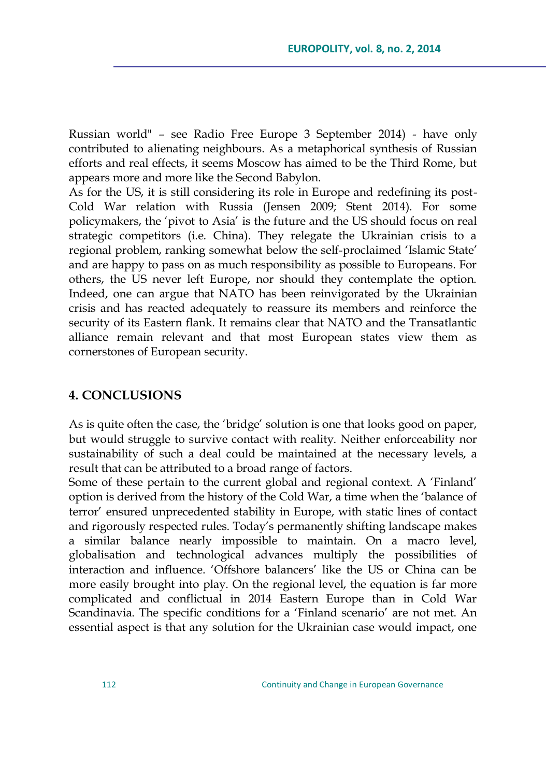Russian world" – see Radio Free Europe 3 September 2014) - have only contributed to alienating neighbours. As a metaphorical synthesis of Russian efforts and real effects, it seems Moscow has aimed to be the Third Rome, but appears more and more like the Second Babylon.

As for the US, it is still considering its role in Europe and redefining its post-Cold War relation with Russia (Jensen 2009; Stent 2014). For some policymakers, the ‗pivot to Asia' is the future and the US should focus on real strategic competitors (i.e. China). They relegate the Ukrainian crisis to a regional problem, ranking somewhat below the self-proclaimed 'Islamic State' and are happy to pass on as much responsibility as possible to Europeans. For others, the US never left Europe, nor should they contemplate the option. Indeed, one can argue that NATO has been reinvigorated by the Ukrainian crisis and has reacted adequately to reassure its members and reinforce the security of its Eastern flank. It remains clear that NATO and the Transatlantic alliance remain relevant and that most European states view them as cornerstones of European security.

### **4. CONCLUSIONS**

As is quite often the case, the 'bridge' solution is one that looks good on paper, but would struggle to survive contact with reality. Neither enforceability nor sustainability of such a deal could be maintained at the necessary levels, a result that can be attributed to a broad range of factors.

Some of these pertain to the current global and regional context. A 'Finland' option is derived from the history of the Cold War, a time when the 'balance of terror' ensured unprecedented stability in Europe, with static lines of contact and rigorously respected rules. Today's permanently shifting landscape makes a similar balance nearly impossible to maintain. On a macro level, globalisation and technological advances multiply the possibilities of interaction and influence. ‗Offshore balancers' like the US or China can be more easily brought into play. On the regional level, the equation is far more complicated and conflictual in 2014 Eastern Europe than in Cold War Scandinavia. The specific conditions for a 'Finland scenario' are not met. An essential aspect is that any solution for the Ukrainian case would impact, one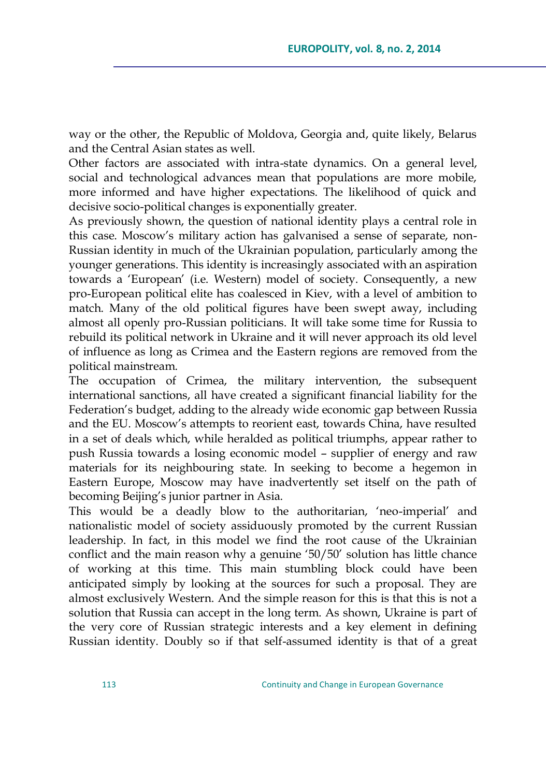way or the other, the Republic of Moldova, Georgia and, quite likely, Belarus and the Central Asian states as well.

Other factors are associated with intra-state dynamics. On a general level, social and technological advances mean that populations are more mobile, more informed and have higher expectations. The likelihood of quick and decisive socio-political changes is exponentially greater.

As previously shown, the question of national identity plays a central role in this case. Moscow's military action has galvanised a sense of separate, non-Russian identity in much of the Ukrainian population, particularly among the younger generations. This identity is increasingly associated with an aspiration towards a ‗European' (i.e. Western) model of society. Consequently, a new pro-European political elite has coalesced in Kiev, with a level of ambition to match. Many of the old political figures have been swept away, including almost all openly pro-Russian politicians. It will take some time for Russia to rebuild its political network in Ukraine and it will never approach its old level of influence as long as Crimea and the Eastern regions are removed from the political mainstream.

The occupation of Crimea, the military intervention, the subsequent international sanctions, all have created a significant financial liability for the Federation's budget, adding to the already wide economic gap between Russia and the EU. Moscow's attempts to reorient east, towards China, have resulted in a set of deals which, while heralded as political triumphs, appear rather to push Russia towards a losing economic model – supplier of energy and raw materials for its neighbouring state. In seeking to become a hegemon in Eastern Europe, Moscow may have inadvertently set itself on the path of becoming Beijing's junior partner in Asia.

This would be a deadly blow to the authoritarian, 'neo-imperial' and nationalistic model of society assiduously promoted by the current Russian leadership. In fact, in this model we find the root cause of the Ukrainian conflict and the main reason why a genuine '50/50' solution has little chance of working at this time. This main stumbling block could have been anticipated simply by looking at the sources for such a proposal. They are almost exclusively Western. And the simple reason for this is that this is not a solution that Russia can accept in the long term. As shown, Ukraine is part of the very core of Russian strategic interests and a key element in defining Russian identity. Doubly so if that self-assumed identity is that of a great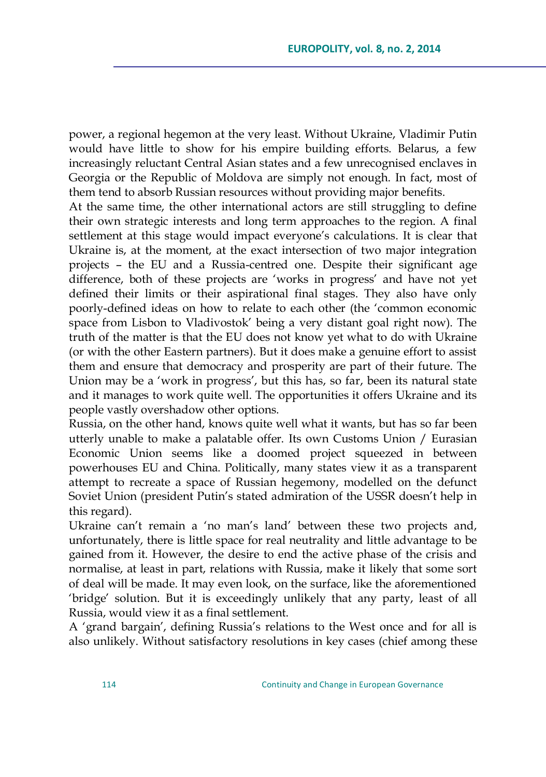power, a regional hegemon at the very least. Without Ukraine, Vladimir Putin would have little to show for his empire building efforts. Belarus, a few increasingly reluctant Central Asian states and a few unrecognised enclaves in Georgia or the Republic of Moldova are simply not enough. In fact, most of them tend to absorb Russian resources without providing major benefits.

At the same time, the other international actors are still struggling to define their own strategic interests and long term approaches to the region. A final settlement at this stage would impact everyone's calculations. It is clear that Ukraine is, at the moment, at the exact intersection of two major integration projects – the EU and a Russia-centred one. Despite their significant age difference, both of these projects are 'works in progress' and have not yet defined their limits or their aspirational final stages. They also have only poorly-defined ideas on how to relate to each other (the 'common economic space from Lisbon to Vladivostok' being a very distant goal right now). The truth of the matter is that the EU does not know yet what to do with Ukraine (or with the other Eastern partners). But it does make a genuine effort to assist them and ensure that democracy and prosperity are part of their future. The Union may be a 'work in progress', but this has, so far, been its natural state and it manages to work quite well. The opportunities it offers Ukraine and its people vastly overshadow other options.

Russia, on the other hand, knows quite well what it wants, but has so far been utterly unable to make a palatable offer. Its own Customs Union / Eurasian Economic Union seems like a doomed project squeezed in between powerhouses EU and China. Politically, many states view it as a transparent attempt to recreate a space of Russian hegemony, modelled on the defunct Soviet Union (president Putin's stated admiration of the USSR doesn't help in this regard).

Ukraine can't remain a 'no man's land' between these two projects and, unfortunately, there is little space for real neutrality and little advantage to be gained from it. However, the desire to end the active phase of the crisis and normalise, at least in part, relations with Russia, make it likely that some sort of deal will be made. It may even look, on the surface, like the aforementioned ‗bridge' solution. But it is exceedingly unlikely that any party, least of all Russia, would view it as a final settlement.

A ‗grand bargain', defining Russia's relations to the West once and for all is also unlikely. Without satisfactory resolutions in key cases (chief among these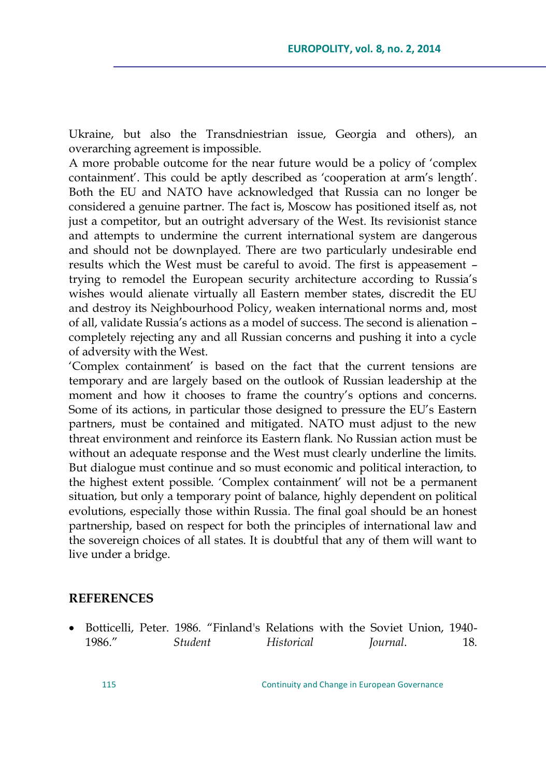Ukraine, but also the Transdniestrian issue, Georgia and others), an overarching agreement is impossible.

A more probable outcome for the near future would be a policy of 'complex containment'. This could be aptly described as 'cooperation at arm's length'. Both the EU and NATO have acknowledged that Russia can no longer be considered a genuine partner. The fact is, Moscow has positioned itself as, not just a competitor, but an outright adversary of the West. Its revisionist stance and attempts to undermine the current international system are dangerous and should not be downplayed. There are two particularly undesirable end results which the West must be careful to avoid. The first is appeasement – trying to remodel the European security architecture according to Russia's wishes would alienate virtually all Eastern member states, discredit the EU and destroy its Neighbourhood Policy, weaken international norms and, most of all, validate Russia's actions as a model of success. The second is alienation – completely rejecting any and all Russian concerns and pushing it into a cycle of adversity with the West.

‗Complex containment' is based on the fact that the current tensions are temporary and are largely based on the outlook of Russian leadership at the moment and how it chooses to frame the country's options and concerns. Some of its actions, in particular those designed to pressure the EU's Eastern partners, must be contained and mitigated. NATO must adjust to the new threat environment and reinforce its Eastern flank. No Russian action must be without an adequate response and the West must clearly underline the limits. But dialogue must continue and so must economic and political interaction, to the highest extent possible. 'Complex containment' will not be a permanent situation, but only a temporary point of balance, highly dependent on political evolutions, especially those within Russia. The final goal should be an honest partnership, based on respect for both the principles of international law and the sovereign choices of all states. It is doubtful that any of them will want to live under a bridge.

#### **REFERENCES**

• Botticelli, Peter. 1986. "Finland's Relations with the Soviet Union, 1940-1986.‖ *Student Historical Journal*. 18.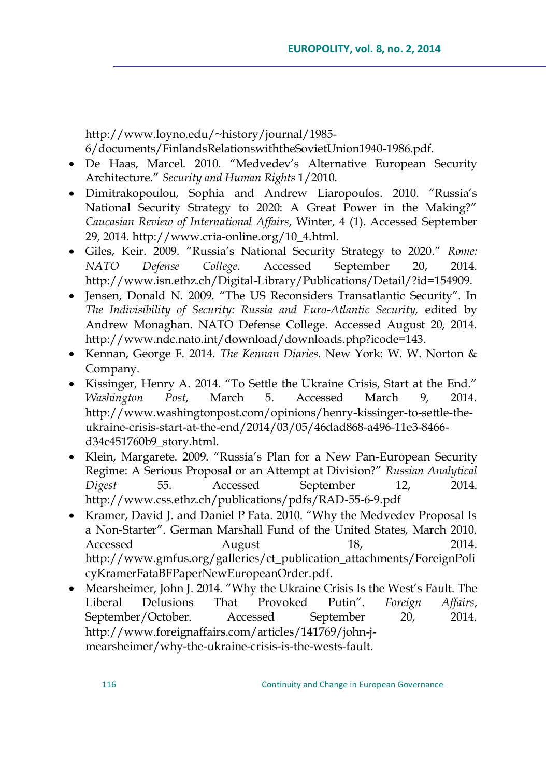[http://www.loyno.edu/~history/journal/1985-](http://www.loyno.edu/~history/journal/1985-6/documents/FinlandsRelationswiththeSovietUnion1940-1986.pdf) [6/documents/FinlandsRelationswiththeSovietUnion1940-1986.pdf.](http://www.loyno.edu/~history/journal/1985-6/documents/FinlandsRelationswiththeSovietUnion1940-1986.pdf)

- De Haas, Marcel. 2010. "Medvedev's Alternative European Security Architecture.‖ *Security and Human Rights* 1/2010.
- Dimitrakopoulou, Sophia and Andrew Liaropoulos. 2010. "Russia's National Security Strategy to 2020: A Great Power in the Making?" *Caucasian Review of International Affairs*, Winter, 4 (1). Accessed September 29, 2014. [http://www.cria-online.org/10\\_4.html.](http://www.cria-online.org/10_4.html)
- Giles, Keir. 2009. "Russia's National Security Strategy to 2020." *Rome: NATO Defense College*. Accessed September 20, 2014. [http://www.isn.ethz.ch/Digital-Library/Publications/Detail/?id=154909.](http://www.isn.ethz.ch/Digital-Library/Publications/Detail/?id=154909)
- Jensen, Donald N. 2009. "The US Reconsiders Transatlantic Security". In *The Indivisibility of Security: Russia and Euro-Atlantic Security,* edited by Andrew Monaghan. NATO Defense College. Accessed August 20, 2014. [http://www.ndc.nato.int/download/downloads.php?icode=143.](http://www.ndc.nato.int/download/downloads.php?icode=143)
- Kennan, George F. 2014. *The Kennan Diaries.* New York: W. W. Norton & Company.
- Kissinger, Henry A. 2014. "To Settle the Ukraine Crisis, Start at the End." *Washington Post*, March 5. Accessed March 9, 2014. [http://www.washingtonpost.com/opinions/henry-kissinger-to-settle-the](http://www.washingtonpost.com/opinions/henry-kissinger-to-settle-the-ukraine-crisis-start-at-the-end/2014/03/05/46dad868-a496-11e3-8466-d34c451760b9_story.html)[ukraine-crisis-start-at-the-end/2014/03/05/46dad868-a496-11e3-8466](http://www.washingtonpost.com/opinions/henry-kissinger-to-settle-the-ukraine-crisis-start-at-the-end/2014/03/05/46dad868-a496-11e3-8466-d34c451760b9_story.html) [d34c451760b9\\_story.html.](http://www.washingtonpost.com/opinions/henry-kissinger-to-settle-the-ukraine-crisis-start-at-the-end/2014/03/05/46dad868-a496-11e3-8466-d34c451760b9_story.html)
- Klein, Margarete. 2009. "Russia's Plan for a New Pan-European Security Regime: A Serious Proposal or an Attempt at Division?‖ *Russian Analytical Digest* 55. Accessed September 12, 2014. <http://www.css.ethz.ch/publications/pdfs/RAD-55-6-9.pdf>
- Kramer, David J. and Daniel P Fata. 2010. "Why the Medvedev Proposal Is a Non-Starter". German Marshall Fund of the United States, March 2010. Accessed August 18, 2014. [http://www.gmfus.org/galleries/ct\\_publication\\_attachments/ForeignPoli](http://www.gmfus.org/galleries/ct_publication_attachments/ForeignPolicyKramerFataBFPaperNewEuropeanOrder.pdf) [cyKramerFataBFPaperNewEuropeanOrder.pdf.](http://www.gmfus.org/galleries/ct_publication_attachments/ForeignPolicyKramerFataBFPaperNewEuropeanOrder.pdf)
- Mearsheimer, John J. 2014. "Why the Ukraine Crisis Is the West's Fault. The Liberal Delusions That Provoked Putin‖. *Foreign Affairs*, September/October. Accessed September 20, 2014. [http://www.foreignaffairs.com/articles/141769/john-j](http://www.foreignaffairs.com/articles/141769/john-j-mearsheimer/why-the-ukraine-crisis-is-the-wests-fault)[mearsheimer/why-the-ukraine-crisis-is-the-wests-fault.](http://www.foreignaffairs.com/articles/141769/john-j-mearsheimer/why-the-ukraine-crisis-is-the-wests-fault)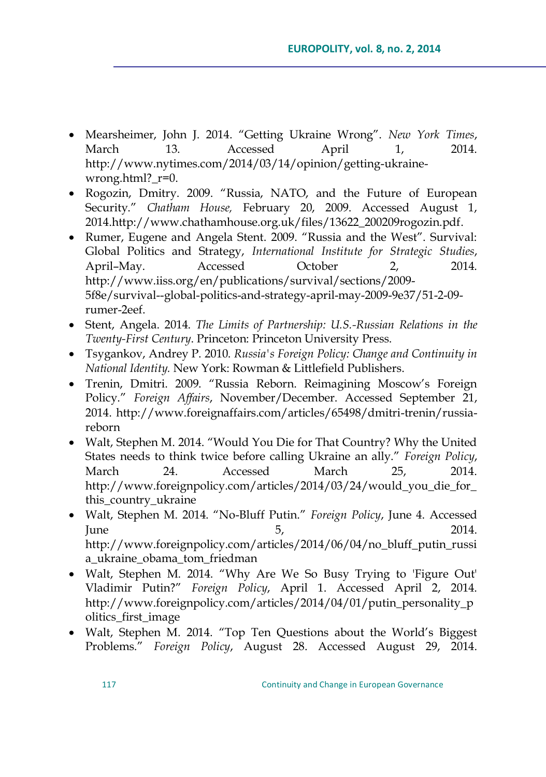- Mearsheimer, John J. 2014. ―Getting Ukraine Wrong‖. *New York Times*, March 13. Accessed April 1, 2014. [http://www.nytimes.com/2014/03/14/opinion/getting-ukraine](http://www.nytimes.com/2014/03/14/opinion/getting-ukraine-wrong.html?_r=0)wrong.html? r=0.
- Rogozin, Dmitry. 2009. "Russia, NATO, and the Future of European Security." Chatham House, February 20, 2009. Accessed August 1, 201[4.http://www.chathamhouse.org.uk/files/13622\\_200209rogozin.pdf.](http://www.chathamhouse.org.uk/files/13622_200209rogozin.pdf)
- Rumer, Eugene and Angela Stent. 2009. "Russia and the West". Survival: Global Politics and Strategy, *International Institute for Strategic Studies*, April–May. Accessed October 2, 2014. [http://www.iiss.org/en/publications/survival/sections/2009-](http://www.iiss.org/en/publications/survival/sections/2009-5f8e/survival--global-politics-and-strategy-april-may-2009-9e37/51-2-09-rumer-2eef) [5f8e/survival--global-politics-and-strategy-april-may-2009-9e37/51-2-09](http://www.iiss.org/en/publications/survival/sections/2009-5f8e/survival--global-politics-and-strategy-april-may-2009-9e37/51-2-09-rumer-2eef) [rumer-2eef.](http://www.iiss.org/en/publications/survival/sections/2009-5f8e/survival--global-politics-and-strategy-april-may-2009-9e37/51-2-09-rumer-2eef)
- Stent, Angela. 2014. *The Limits of Partnership: U.S.-Russian Relations in the Twenty-First Century*. Princeton: Princeton University Press.
- Tsygankov, Andrey P. 2010. *Russia's Foreign Policy: Change and Continuity in National Identity.* New York: Rowman & Littlefield Publishers.
- Trenin, Dmitri. 2009. "Russia Reborn. Reimagining Moscow's Foreign Policy.‖ *Foreign Affairs*, November/December. Accessed September 21, 2014. [http://www.foreignaffairs.com/articles/65498/dmitri-trenin/russia](http://www.foreignaffairs.com/articles/65498/dmitri-trenin/russia-reborn)[reborn](http://www.foreignaffairs.com/articles/65498/dmitri-trenin/russia-reborn)
- Walt, Stephen M. 2014. "Would You Die for That Country? Why the United States needs to think twice before calling Ukraine an ally.‖ *Foreign Policy*, March 24. Accessed March 25, 2014. [http://www.foreignpolicy.com/articles/2014/03/24/would\\_you\\_die\\_for\\_](http://www.foreignpolicy.com/articles/2014/03/24/would_you_die_for_this_country_ukraine) [this\\_country\\_ukraine](http://www.foreignpolicy.com/articles/2014/03/24/would_you_die_for_this_country_ukraine)
- Walt, Stephen M. 2014. "No-Bluff Putin." *Foreign Policy*, June 4. Accessed  $June 5, 2014.$ [http://www.foreignpolicy.com/articles/2014/06/04/no\\_bluff\\_putin\\_russi](http://www.foreignpolicy.com/articles/2014/06/04/no_bluff_putin_russia_ukraine_obama_tom_friedman) [a\\_ukraine\\_obama\\_tom\\_friedman](http://www.foreignpolicy.com/articles/2014/06/04/no_bluff_putin_russia_ukraine_obama_tom_friedman)
- Walt, Stephen M. 2014. "Why Are We So Busy Trying to 'Figure Out' Vladimir Putin?‖ *Foreign Policy*, April 1. Accessed April 2, 2014. [http://www.foreignpolicy.com/articles/2014/04/01/putin\\_personality\\_p](http://www.foreignpolicy.com/articles/2014/04/01/putin_personality_politics_first_image) [olitics\\_first\\_image](http://www.foreignpolicy.com/articles/2014/04/01/putin_personality_politics_first_image)
- Walt, Stephen M. 2014. "Top Ten Questions about the World's Biggest Problems.‖ *Foreign Policy*, August 28. Accessed August 29, 2014.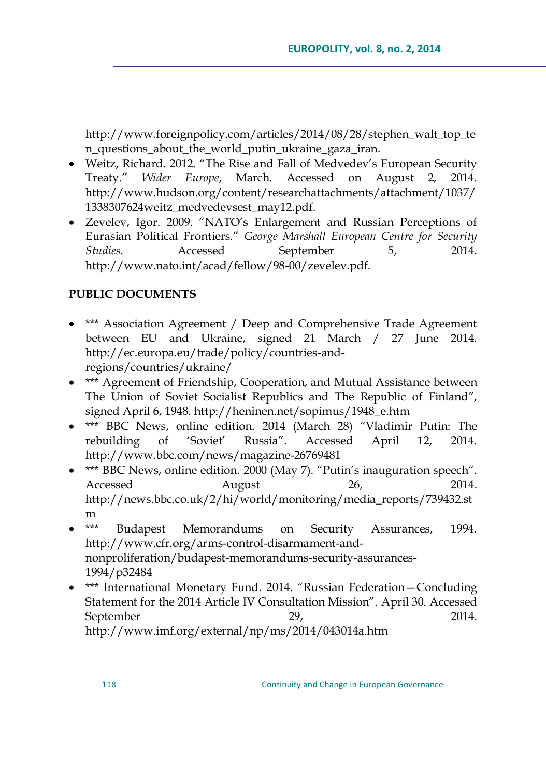[http://www.foreignpolicy.com/articles/2014/08/28/stephen\\_walt\\_top\\_te](http://www.foreignpolicy.com/articles/2014/08/28/stephen_walt_top_ten_questions_about_the_world_putin_ukraine_gaza_iran) [n\\_questions\\_about\\_the\\_world\\_putin\\_ukraine\\_gaza\\_iran.](http://www.foreignpolicy.com/articles/2014/08/28/stephen_walt_top_ten_questions_about_the_world_putin_ukraine_gaza_iran)

- Weitz, Richard. 2012. "The Rise and Fall of Medvedev's European Security Treaty.‖ *Wider Europe*, March. Accessed on August 2, 2014. [http://www.hudson.org/content/researchattachments/attachment/1037/](http://www.hudson.org/content/researchattachments/attachment/1037/1338307624weitz_medvedevsest_may12.pdf) [1338307624weitz\\_medvedevsest\\_may12.pdf.](http://www.hudson.org/content/researchattachments/attachment/1037/1338307624weitz_medvedevsest_may12.pdf)
- Zevelev, Igor. 2009. "NATO's Enlargement and Russian Perceptions of Eurasian Political Frontiers.‖ *George Marshall European Centre for Security Studies*. Accessed September 5, 2014. [http://www.nato.int/acad/fellow/98-00/zevelev.pdf.](http://www.nato.int/acad/fellow/98-00/zevelev.pdf)

## **PUBLIC DOCUMENTS**

- \*\*\* Association Agreement / Deep and Comprehensive Trade Agreement between EU and Ukraine, signed 21 March / 27 June 2014. [http://ec.europa.eu/trade/policy/countries-and](http://ec.europa.eu/trade/policy/countries-and-regions/countries/ukraine/)[regions/countries/ukraine/](http://ec.europa.eu/trade/policy/countries-and-regions/countries/ukraine/)
- \*\*\* Agreement of Friendship, Cooperation, and Mutual Assistance between The Union of Soviet Socialist Republics and The Republic of Finland", signed April 6, 1948. [http://heninen.net/sopimus/1948\\_e.htm](http://heninen.net/sopimus/1948_e.htm)
- \*\*\* BBC News, online edition. 2014 (March 28) "Vladimir Putin: The rebuilding of 'Soviet' Russia". Accessed April 12, 2014. <http://www.bbc.com/news/magazine-26769481>
- \*\*\* BBC News, online edition. 2000 (May 7). "Putin's inauguration speech". Accessed August 26, 2014. [http://news.bbc.co.uk/2/hi/world/monitoring/media\\_reports/739432.st](http://news.bbc.co.uk/2/hi/world/monitoring/media_reports/739432.stm) [m](http://news.bbc.co.uk/2/hi/world/monitoring/media_reports/739432.stm)
- \*\*\* Budapest Memorandums on Security Assurances, 1994. [http://www.cfr.org/arms-control-disarmament-and](http://www.cfr.org/arms-control-disarmament-and-nonproliferation/budapest-memorandums-security-assurances-1994/p32484)[nonproliferation/budapest-memorandums-security-assurances-](http://www.cfr.org/arms-control-disarmament-and-nonproliferation/budapest-memorandums-security-assurances-1994/p32484)[1994/p32484](http://www.cfr.org/arms-control-disarmament-and-nonproliferation/budapest-memorandums-security-assurances-1994/p32484)
- \*\*\* International Monetary Fund. 2014. "Russian Federation–Concluding Statement for the 2014 Article IV Consultation Mission". April 30. Accessed September 29, 2014. <http://www.imf.org/external/np/ms/2014/043014a.htm>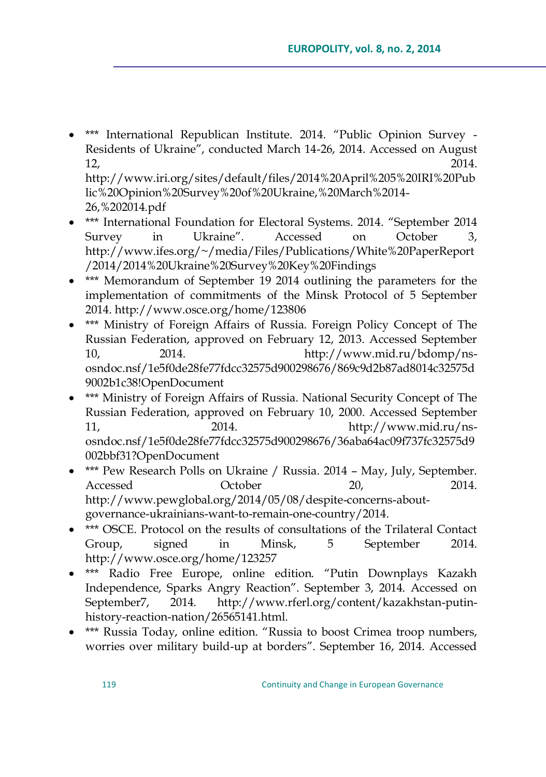\*\*\* International Republican Institute. 2014. "Public Opinion Survey -Residents of Ukraine", conducted March 14-26, 2014. Accessed on August 12, 2014. [http://www.iri.org/sites/default/files/2014%20April%205%20IRI%20Pub](http://www.iri.org/sites/default/files/2014%20April%205%20IRI%20Public%20Opinion%20Survey%20of%20Ukraine,%20March%2014-26,%202014.pdf)

[lic%20Opinion%20Survey%20of%20Ukraine,%20March%2014-](http://www.iri.org/sites/default/files/2014%20April%205%20IRI%20Public%20Opinion%20Survey%20of%20Ukraine,%20March%2014-26,%202014.pdf) [26,%202014.pdf](http://www.iri.org/sites/default/files/2014%20April%205%20IRI%20Public%20Opinion%20Survey%20of%20Ukraine,%20March%2014-26,%202014.pdf)

- \*\*\* International Foundation for Electoral Systems. 2014. "September 2014 Survey in Ukraine". Accessed on October 3, [http://www.ifes.org/~/media/Files/Publications/White%20PaperReport](http://www.ifes.org/~/media/Files/Publications/White%20PaperReport/2014/2014%20Ukraine%20Survey%20Key%20Findings) [/2014/2014%20Ukraine%20Survey%20Key%20Findings](http://www.ifes.org/~/media/Files/Publications/White%20PaperReport/2014/2014%20Ukraine%20Survey%20Key%20Findings)
- \*\*\* Memorandum of September 19 2014 outlining the parameters for the implementation of commitments of the Minsk Protocol of 5 September 2014.<http://www.osce.org/home/123806>
- \*\*\* Ministry of Foreign Affairs of Russia. Foreign Policy Concept of The Russian Federation, approved on February 12, 2013. Accessed September 10, 2014. [http://www.mid.ru/bdomp/ns](http://www.mid.ru/bdomp/ns-osndoc.nsf/1e5f0de28fe77fdcc32575d900298676/869c9d2b87ad8014c32575d9002b1c38!OpenDocument)[osndoc.nsf/1e5f0de28fe77fdcc32575d900298676/869c9d2b87ad8014c32575d](http://www.mid.ru/bdomp/ns-osndoc.nsf/1e5f0de28fe77fdcc32575d900298676/869c9d2b87ad8014c32575d9002b1c38!OpenDocument) [9002b1c38!OpenDocument](http://www.mid.ru/bdomp/ns-osndoc.nsf/1e5f0de28fe77fdcc32575d900298676/869c9d2b87ad8014c32575d9002b1c38!OpenDocument)
- \*\*\* Ministry of Foreign Affairs of Russia. National Security Concept of The Russian Federation, approved on February 10, 2000. Accessed September 11, 2014. [http://www.mid.ru/ns](http://www.mid.ru/ns-osndoc.nsf/1e5f0de28fe77fdcc32575d900298676/36aba64ac09f737fc32575d9002bbf31?OpenDocument)[osndoc.nsf/1e5f0de28fe77fdcc32575d900298676/36aba64ac09f737fc32575d9](http://www.mid.ru/ns-osndoc.nsf/1e5f0de28fe77fdcc32575d900298676/36aba64ac09f737fc32575d9002bbf31?OpenDocument) [002bbf31?OpenDocument](http://www.mid.ru/ns-osndoc.nsf/1e5f0de28fe77fdcc32575d900298676/36aba64ac09f737fc32575d9002bbf31?OpenDocument)
- \*\*\* Pew Research Polls on Ukraine / Russia. 2014 May, July, September. Accessed October 20, 2014. [http://www.pewglobal.org/2014/05/08/despite-concerns-about](http://www.pewglobal.org/2014/05/08/despite-concerns-about-governance-ukrainians-want-to-remain-one-country/)[governance-ukrainians-want-to-remain-one-country/2](http://www.pewglobal.org/2014/05/08/despite-concerns-about-governance-ukrainians-want-to-remain-one-country/)014.
- \*\*\* OSCE. Protocol on the results of consultations of the Trilateral Contact Group, signed in Minsk, 5 September 2014. <http://www.osce.org/home/123257>
- \*\*\* Radio Free Europe, online edition. "Putin Downplays Kazakh Independence, Sparks Angry Reaction". September 3, 2014. Accessed on September7, 2014. [http://www.rferl.org/content/kazakhstan-putin](http://www.rferl.org/content/kazakhstan-putin-history-reaction-nation/26565141.html)[history-reaction-nation/26565141.html.](http://www.rferl.org/content/kazakhstan-putin-history-reaction-nation/26565141.html)
- \*\*\* Russia Today, online edition. "Russia to boost Crimea troop numbers, worries over military build-up at borders". September 16, 2014. Accessed